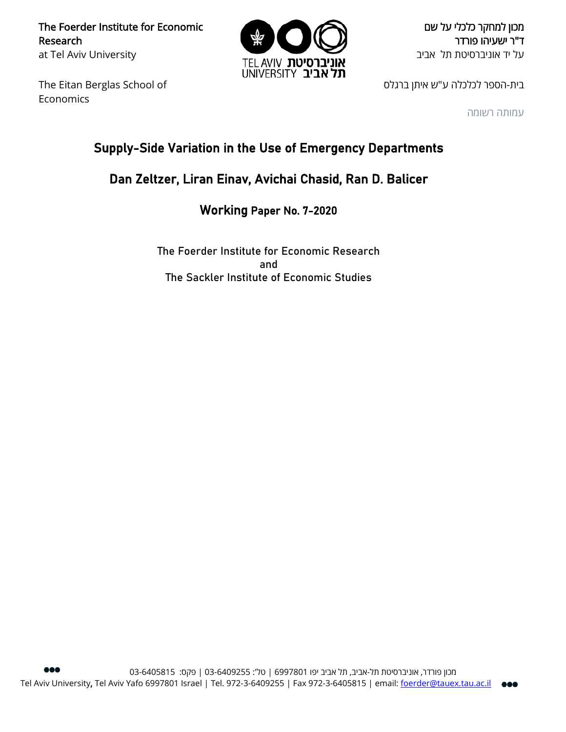The Foerder Institute for Economic Research at Tel Aviv University

The Eitan Berglas School of Economics



מכון למחקר כלכלי על שם ד"ר ישעיהו פורדר על יד אוניברסיטת תל אביב

בית-הספר לכלכלה ע"ש איתן ברגלס

עמותה רשומה

# Supply-Side Variation in the Use of Emergency Departments

## Dan Zeltzer, Liran Einav, Avichai Chasid, Ran D. Balicer

Working Paper No. 7-2020

The Foerder Institute for Economic Research and The Sackler Institute of Economic Studies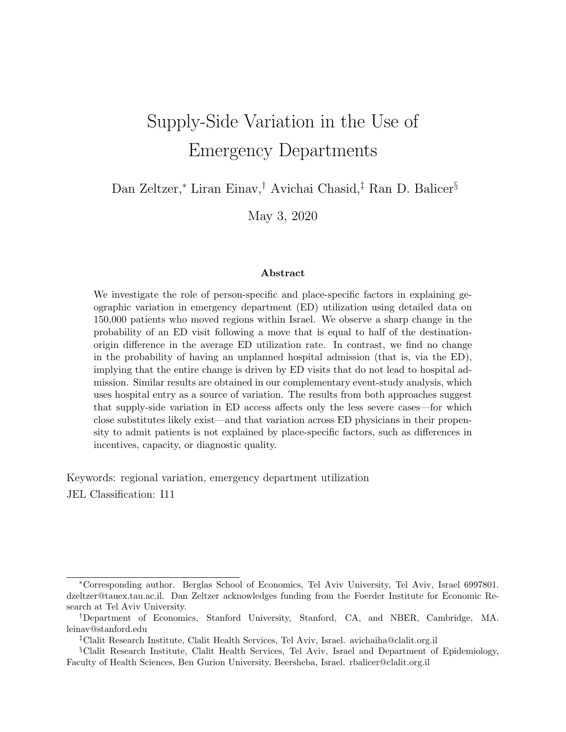# Supply-Side Variation in the Use of Emergency Departments

Dan Zeltzer,<sup>∗</sup> Liran Einav,† Avichai Chasid,‡ Ran D. Balicer§

May 3, 2020

#### Abstract

We investigate the role of person-specific and place-specific factors in explaining geographic variation in emergency department (ED) utilization using detailed data on 150,000 patients who moved regions within Israel. We observe a sharp change in the probability of an ED visit following a move that is equal to half of the destinationorigin difference in the average ED utilization rate. In contrast, we find no change in the probability of having an unplanned hospital admission (that is, via the ED), implying that the entire change is driven by ED visits that do not lead to hospital admission. Similar results are obtained in our complementary event-study analysis, which uses hospital entry as a source of variation. The results from both approaches suggest that supply-side variation in ED access affects only the less severe cases—for which close substitutes likely exist—and that variation across ED physicians in their propensity to admit patients is not explained by place-specific factors, such as differences in incentives, capacity, or diagnostic quality.

Keywords: regional variation, emergency department utilization JEL Classification: I11

<sup>∗</sup>Corresponding author. Berglas School of Economics, Tel Aviv University, Tel Aviv, Israel 6997801. dzeltzer@tauex.tau.ac.il. Dan Zeltzer acknowledges funding from the Foerder Institute for Economic Research at Tel Aviv University.

<sup>†</sup>Department of Economics, Stanford University, Stanford, CA, and NBER, Cambridge, MA. leinav@stanford.edu

<sup>‡</sup>Clalit Research Institute, Clalit Health Services, Tel Aviv, Israel. avichaiha@clalit.org.il

<sup>§</sup>Clalit Research Institute, Clalit Health Services, Tel Aviv, Israel and Department of Epidemiology, Faculty of Health Sciences, Ben Gurion University, Beersheba, Israel. rbalicer@clalit.org.il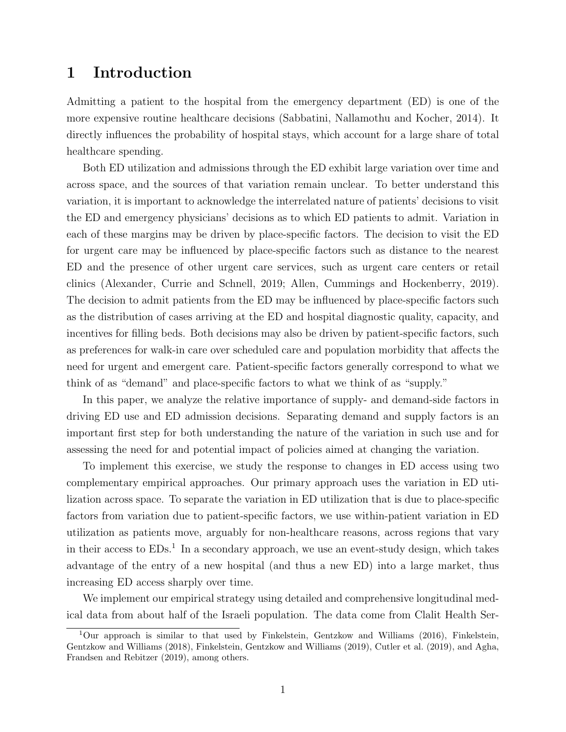### 1 Introduction

Admitting a patient to the hospital from the emergency department (ED) is one of the more expensive routine healthcare decisions [\(Sabbatini, Nallamothu and Kocher, 2014\)](#page-17-0). It directly influences the probability of hospital stays, which account for a large share of total healthcare spending.

Both ED utilization and admissions through the ED exhibit large variation over time and across space, and the sources of that variation remain unclear. To better understand this variation, it is important to acknowledge the interrelated nature of patients' decisions to visit the ED and emergency physicians' decisions as to which ED patients to admit. Variation in each of these margins may be driven by place-specific factors. The decision to visit the ED for urgent care may be influenced by place-specific factors such as distance to the nearest ED and the presence of other urgent care services, such as urgent care centers or retail clinics [\(Alexander, Currie and Schnell, 2019;](#page-16-0) [Allen, Cummings and Hockenberry, 2019\)](#page-16-1). The decision to admit patients from the ED may be influenced by place-specific factors such as the distribution of cases arriving at the ED and hospital diagnostic quality, capacity, and incentives for filling beds. Both decisions may also be driven by patient-specific factors, such as preferences for walk-in care over scheduled care and population morbidity that affects the need for urgent and emergent care. Patient-specific factors generally correspond to what we think of as "demand" and place-specific factors to what we think of as "supply."

In this paper, we analyze the relative importance of supply- and demand-side factors in driving ED use and ED admission decisions. Separating demand and supply factors is an important first step for both understanding the nature of the variation in such use and for assessing the need for and potential impact of policies aimed at changing the variation.

To implement this exercise, we study the response to changes in ED access using two complementary empirical approaches. Our primary approach uses the variation in ED utilization across space. To separate the variation in ED utilization that is due to place-specific factors from variation due to patient-specific factors, we use within-patient variation in ED utilization as patients move, arguably for non-healthcare reasons, across regions that vary in their access to  $EDs<sup>1</sup>$  $EDs<sup>1</sup>$  $EDs<sup>1</sup>$  In a secondary approach, we use an event-study design, which takes advantage of the entry of a new hospital (and thus a new ED) into a large market, thus increasing ED access sharply over time.

We implement our empirical strategy using detailed and comprehensive longitudinal medical data from about half of the Israeli population. The data come from Clalit Health Ser-

<span id="page-2-0"></span><sup>&</sup>lt;sup>1</sup>Our approach is similar to that used by [Finkelstein, Gentzkow and Williams](#page-17-1) [\(2016\)](#page-17-1), [Finkelstein,](#page-17-2) [Gentzkow and Williams](#page-17-2) [\(2018\)](#page-17-2), [Finkelstein, Gentzkow and Williams](#page-17-3) [\(2019\)](#page-17-3), [Cutler et al.](#page-16-2) [\(2019\)](#page-16-2), and [Agha,](#page-16-3) [Frandsen and Rebitzer](#page-16-3) [\(2019\)](#page-16-3), among others.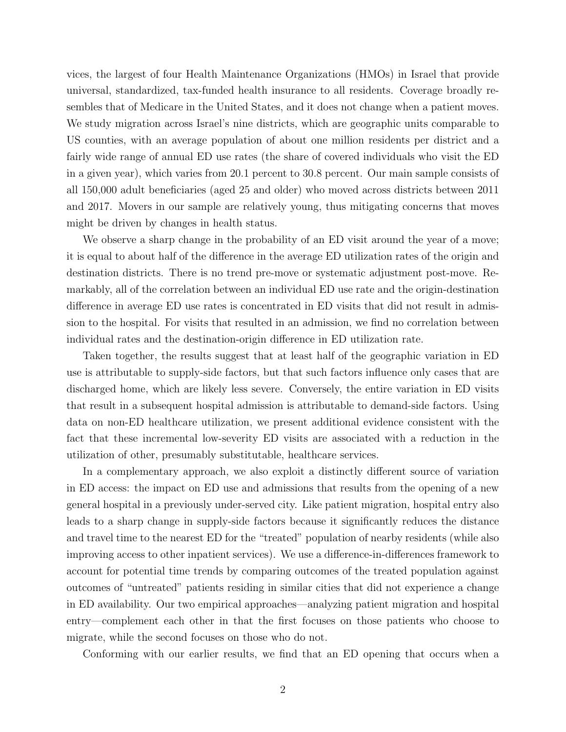vices, the largest of four Health Maintenance Organizations (HMOs) in Israel that provide universal, standardized, tax-funded health insurance to all residents. Coverage broadly resembles that of Medicare in the United States, and it does not change when a patient moves. We study migration across Israel's nine districts, which are geographic units comparable to US counties, with an average population of about one million residents per district and a fairly wide range of annual ED use rates (the share of covered individuals who visit the ED in a given year), which varies from 20.1 percent to 30.8 percent. Our main sample consists of all 150,000 adult beneficiaries (aged 25 and older) who moved across districts between 2011 and 2017. Movers in our sample are relatively young, thus mitigating concerns that moves might be driven by changes in health status.

We observe a sharp change in the probability of an ED visit around the year of a move; it is equal to about half of the difference in the average ED utilization rates of the origin and destination districts. There is no trend pre-move or systematic adjustment post-move. Remarkably, all of the correlation between an individual ED use rate and the origin-destination difference in average ED use rates is concentrated in ED visits that did not result in admission to the hospital. For visits that resulted in an admission, we find no correlation between individual rates and the destination-origin difference in ED utilization rate.

Taken together, the results suggest that at least half of the geographic variation in ED use is attributable to supply-side factors, but that such factors influence only cases that are discharged home, which are likely less severe. Conversely, the entire variation in ED visits that result in a subsequent hospital admission is attributable to demand-side factors. Using data on non-ED healthcare utilization, we present additional evidence consistent with the fact that these incremental low-severity ED visits are associated with a reduction in the utilization of other, presumably substitutable, healthcare services.

In a complementary approach, we also exploit a distinctly different source of variation in ED access: the impact on ED use and admissions that results from the opening of a new general hospital in a previously under-served city. Like patient migration, hospital entry also leads to a sharp change in supply-side factors because it significantly reduces the distance and travel time to the nearest ED for the "treated" population of nearby residents (while also improving access to other inpatient services). We use a difference-in-differences framework to account for potential time trends by comparing outcomes of the treated population against outcomes of "untreated" patients residing in similar cities that did not experience a change in ED availability. Our two empirical approaches—analyzing patient migration and hospital entry—complement each other in that the first focuses on those patients who choose to migrate, while the second focuses on those who do not.

Conforming with our earlier results, we find that an ED opening that occurs when a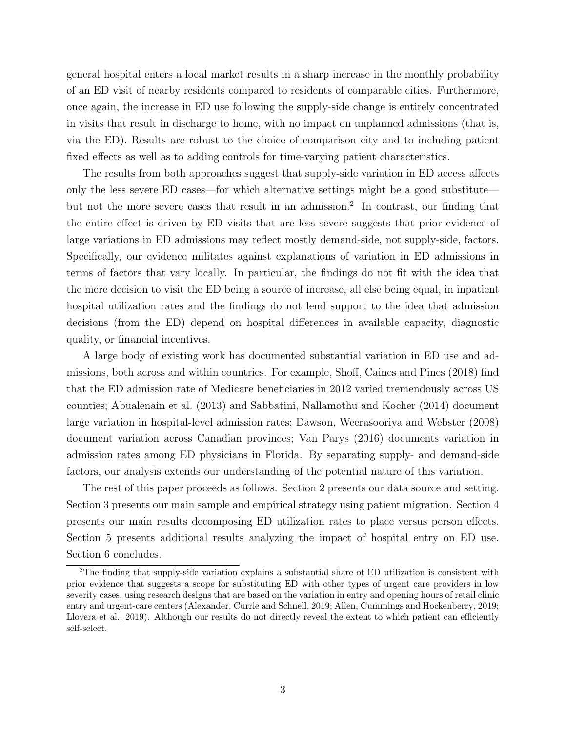general hospital enters a local market results in a sharp increase in the monthly probability of an ED visit of nearby residents compared to residents of comparable cities. Furthermore, once again, the increase in ED use following the supply-side change is entirely concentrated in visits that result in discharge to home, with no impact on unplanned admissions (that is, via the ED). Results are robust to the choice of comparison city and to including patient fixed effects as well as to adding controls for time-varying patient characteristics.

The results from both approaches suggest that supply-side variation in ED access affects only the less severe ED cases—for which alternative settings might be a good substitute but not the more severe cases that result in an admission.[2](#page-4-0) In contrast, our finding that the entire effect is driven by ED visits that are less severe suggests that prior evidence of large variations in ED admissions may reflect mostly demand-side, not supply-side, factors. Specifically, our evidence militates against explanations of variation in ED admissions in terms of factors that vary locally. In particular, the findings do not fit with the idea that the mere decision to visit the ED being a source of increase, all else being equal, in inpatient hospital utilization rates and the findings do not lend support to the idea that admission decisions (from the ED) depend on hospital differences in available capacity, diagnostic quality, or financial incentives.

A large body of existing work has documented substantial variation in ED use and admissions, both across and within countries. For example, [Shoff, Caines and Pines](#page-17-4) [\(2018\)](#page-17-4) find that the ED admission rate of Medicare beneficiaries in 2012 varied tremendously across US counties; [Abualenain et al.](#page-16-4) [\(2013\)](#page-16-4) and [Sabbatini, Nallamothu and Kocher](#page-17-0) [\(2014\)](#page-17-0) document large variation in hospital-level admission rates; [Dawson, Weerasooriya and Webster](#page-17-5) [\(2008\)](#page-17-5) document variation across Canadian provinces; [Van Parys](#page-17-6) [\(2016\)](#page-17-6) documents variation in admission rates among ED physicians in Florida. By separating supply- and demand-side factors, our analysis extends our understanding of the potential nature of this variation.

The rest of this paper proceeds as follows. Section [2](#page-5-0) presents our data source and setting. Section [3](#page-7-0) presents our main sample and empirical strategy using patient migration. Section [4](#page-10-0) presents our main results decomposing ED utilization rates to place versus person effects. Section [5](#page-13-0) presents additional results analyzing the impact of hospital entry on ED use. Section [6](#page-15-0) concludes.

<span id="page-4-0"></span><sup>2</sup>The finding that supply-side variation explains a substantial share of ED utilization is consistent with prior evidence that suggests a scope for substituting ED with other types of urgent care providers in low severity cases, using research designs that are based on the variation in entry and opening hours of retail clinic entry and urgent-care centers [\(Alexander, Currie and Schnell, 2019;](#page-16-0) [Allen, Cummings and Hockenberry, 2019;](#page-16-1) [Llovera et al., 2019\)](#page-17-7). Although our results do not directly reveal the extent to which patient can efficiently self-select.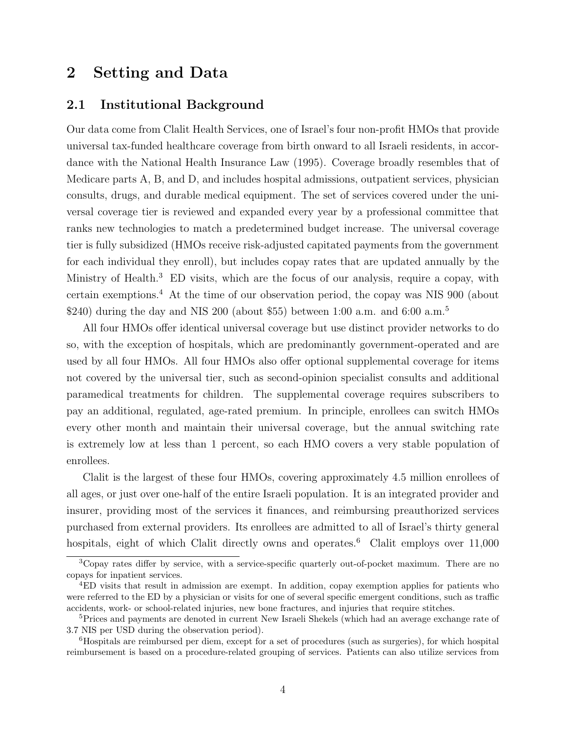### <span id="page-5-0"></span>2 Setting and Data

### 2.1 Institutional Background

Our data come from Clalit Health Services, one of Israel's four non-profit HMOs that provide universal tax-funded healthcare coverage from birth onward to all Israeli residents, in accordance with the National Health Insurance Law (1995). Coverage broadly resembles that of Medicare parts A, B, and D, and includes hospital admissions, outpatient services, physician consults, drugs, and durable medical equipment. The set of services covered under the universal coverage tier is reviewed and expanded every year by a professional committee that ranks new technologies to match a predetermined budget increase. The universal coverage tier is fully subsidized (HMOs receive risk-adjusted capitated payments from the government for each individual they enroll), but includes copay rates that are updated annually by the Ministry of Health.<sup>[3](#page-5-1)</sup> ED visits, which are the focus of our analysis, require a copay, with certain exemptions.[4](#page-5-2) At the time of our observation period, the copay was NIS 900 (about \$240) during the day and NIS 200 (about \$[5](#page-5-3)5) between 1:00 a.m. and 6:00 a.m.<sup>5</sup>

All four HMOs offer identical universal coverage but use distinct provider networks to do so, with the exception of hospitals, which are predominantly government-operated and are used by all four HMOs. All four HMOs also offer optional supplemental coverage for items not covered by the universal tier, such as second-opinion specialist consults and additional paramedical treatments for children. The supplemental coverage requires subscribers to pay an additional, regulated, age-rated premium. In principle, enrollees can switch HMOs every other month and maintain their universal coverage, but the annual switching rate is extremely low at less than 1 percent, so each HMO covers a very stable population of enrollees.

Clalit is the largest of these four HMOs, covering approximately 4.5 million enrollees of all ages, or just over one-half of the entire Israeli population. It is an integrated provider and insurer, providing most of the services it finances, and reimbursing preauthorized services purchased from external providers. Its enrollees are admitted to all of Israel's thirty general hospitals, eight of which Clalit directly owns and operates.<sup>[6](#page-5-4)</sup> Clalit employs over  $11,000$ 

<span id="page-5-1"></span><sup>&</sup>lt;sup>3</sup>Copay rates differ by service, with a service-specific quarterly out-of-pocket maximum. There are no copays for inpatient services.

<span id="page-5-2"></span><sup>4</sup>ED visits that result in admission are exempt. In addition, copay exemption applies for patients who were referred to the ED by a physician or visits for one of several specific emergent conditions, such as traffic accidents, work- or school-related injuries, new bone fractures, and injuries that require stitches.

<span id="page-5-3"></span><sup>&</sup>lt;sup>5</sup>Prices and payments are denoted in current New Israeli Shekels (which had an average exchange rate of 3.7 NIS per USD during the observation period).

<span id="page-5-4"></span><sup>6</sup>Hospitals are reimbursed per diem, except for a set of procedures (such as surgeries), for which hospital reimbursement is based on a procedure-related grouping of services. Patients can also utilize services from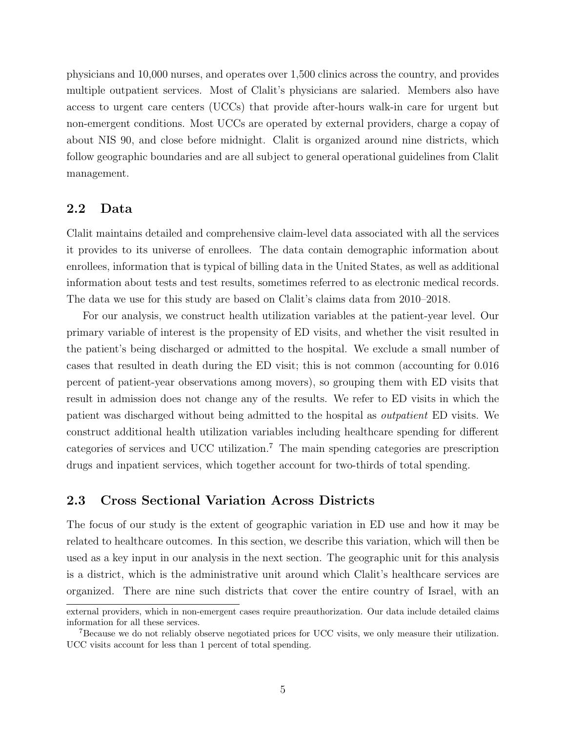physicians and 10,000 nurses, and operates over 1,500 clinics across the country, and provides multiple outpatient services. Most of Clalit's physicians are salaried. Members also have access to urgent care centers (UCCs) that provide after-hours walk-in care for urgent but non-emergent conditions. Most UCCs are operated by external providers, charge a copay of about NIS 90, and close before midnight. Clalit is organized around nine districts, which follow geographic boundaries and are all subject to general operational guidelines from Clalit management.

### <span id="page-6-1"></span>2.2 Data

Clalit maintains detailed and comprehensive claim-level data associated with all the services it provides to its universe of enrollees. The data contain demographic information about enrollees, information that is typical of billing data in the United States, as well as additional information about tests and test results, sometimes referred to as electronic medical records. The data we use for this study are based on Clalit's claims data from 2010–2018.

For our analysis, we construct health utilization variables at the patient-year level. Our primary variable of interest is the propensity of ED visits, and whether the visit resulted in the patient's being discharged or admitted to the hospital. We exclude a small number of cases that resulted in death during the ED visit; this is not common (accounting for 0.016 percent of patient-year observations among movers), so grouping them with ED visits that result in admission does not change any of the results. We refer to ED visits in which the patient was discharged without being admitted to the hospital as outpatient ED visits. We construct additional health utilization variables including healthcare spending for different categories of services and UCC utilization.<sup>[7](#page-6-0)</sup> The main spending categories are prescription drugs and inpatient services, which together account for two-thirds of total spending.

### 2.3 Cross Sectional Variation Across Districts

The focus of our study is the extent of geographic variation in ED use and how it may be related to healthcare outcomes. In this section, we describe this variation, which will then be used as a key input in our analysis in the next section. The geographic unit for this analysis is a district, which is the administrative unit around which Clalit's healthcare services are organized. There are nine such districts that cover the entire country of Israel, with an

external providers, which in non-emergent cases require preauthorization. Our data include detailed claims information for all these services.

<span id="page-6-0"></span><sup>&</sup>lt;sup>7</sup>Because we do not reliably observe negotiated prices for UCC visits, we only measure their utilization. UCC visits account for less than 1 percent of total spending.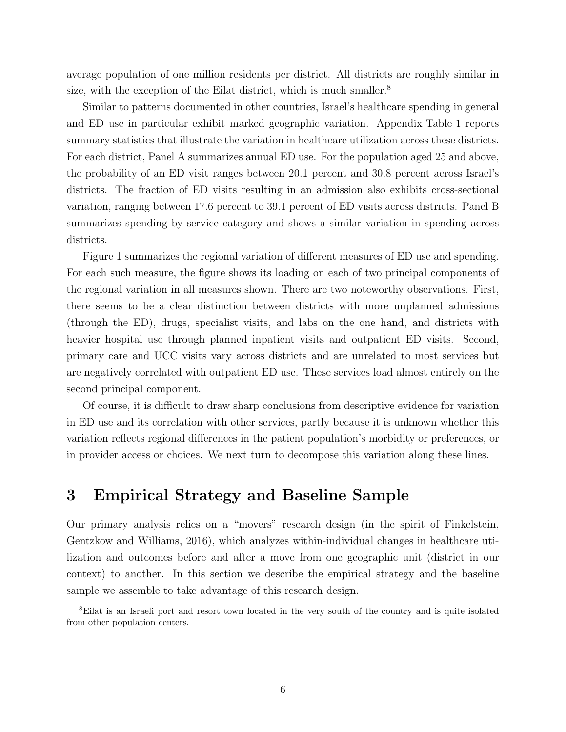average population of one million residents per district. All districts are roughly similar in size, with the exception of the Eilat district, which is much smaller.<sup>[8](#page-7-1)</sup>

Similar to patterns documented in other countries, Israel's healthcare spending in general and ED use in particular exhibit marked geographic variation. [Appendix Table 1](#page-36-0) reports summary statistics that illustrate the variation in healthcare utilization across these districts. For each district, Panel A summarizes annual ED use. For the population aged 25 and above, the probability of an ED visit ranges between 20.1 percent and 30.8 percent across Israel's districts. The fraction of ED visits resulting in an admission also exhibits cross-sectional variation, ranging between 17.6 percent to 39.1 percent of ED visits across districts. Panel B summarizes spending by service category and shows a similar variation in spending across districts.

Figure [1](#page-18-0) summarizes the regional variation of different measures of ED use and spending. For each such measure, the figure shows its loading on each of two principal components of the regional variation in all measures shown. There are two noteworthy observations. First, there seems to be a clear distinction between districts with more unplanned admissions (through the ED), drugs, specialist visits, and labs on the one hand, and districts with heavier hospital use through planned inpatient visits and outpatient ED visits. Second, primary care and UCC visits vary across districts and are unrelated to most services but are negatively correlated with outpatient ED use. These services load almost entirely on the second principal component.

Of course, it is difficult to draw sharp conclusions from descriptive evidence for variation in ED use and its correlation with other services, partly because it is unknown whether this variation reflects regional differences in the patient population's morbidity or preferences, or in provider access or choices. We next turn to decompose this variation along these lines.

### <span id="page-7-0"></span>3 Empirical Strategy and Baseline Sample

Our primary analysis relies on a "movers" research design (in the spirit of [Finkelstein,](#page-17-1) [Gentzkow and Williams, 2016\)](#page-17-1), which analyzes within-individual changes in healthcare utilization and outcomes before and after a move from one geographic unit (district in our context) to another. In this section we describe the empirical strategy and the baseline sample we assemble to take advantage of this research design.

<span id="page-7-1"></span><sup>8</sup>Eilat is an Israeli port and resort town located in the very south of the country and is quite isolated from other population centers.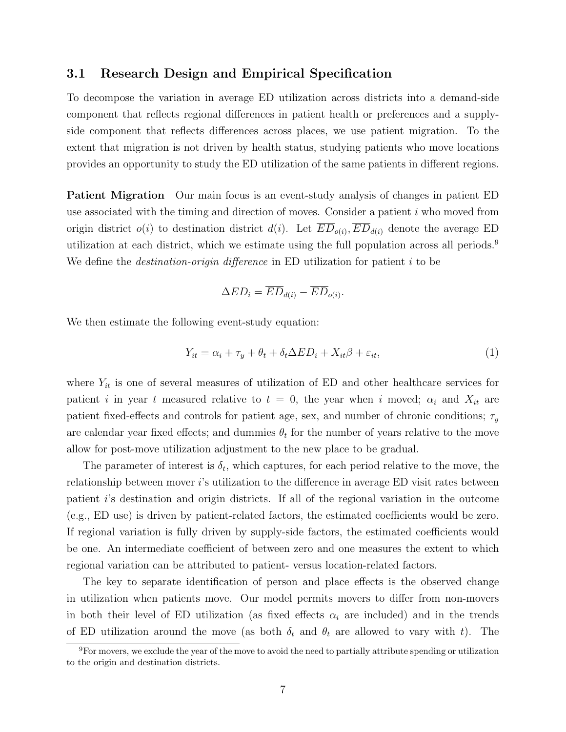#### 3.1 Research Design and Empirical Specification

To decompose the variation in average ED utilization across districts into a demand-side component that reflects regional differences in patient health or preferences and a supplyside component that reflects differences across places, we use patient migration. To the extent that migration is not driven by health status, studying patients who move locations provides an opportunity to study the ED utilization of the same patients in different regions.

Patient Migration Our main focus is an event-study analysis of changes in patient ED use associated with the timing and direction of moves. Consider a patient  $i$  who moved from origin district  $o(i)$  to destination district  $d(i)$ . Let  $ED_{o(i)}$ ,  $ED_{d(i)}$  denote the average ED utilization at each district, which we estimate using the full population across all periods.<sup>[9](#page-8-0)</sup> We define the *destination-origin difference* in ED utilization for patient  $i$  to be

$$
\Delta ED_i = \overline{ED}_{d(i)} - \overline{ED}_{o(i)}.
$$

We then estimate the following event-study equation:

<span id="page-8-1"></span>
$$
Y_{it} = \alpha_i + \tau_y + \theta_t + \delta_t \Delta ED_i + X_{it}\beta + \varepsilon_{it},\tag{1}
$$

where  $Y_{it}$  is one of several measures of utilization of ED and other healthcare services for patient i in year t measured relative to  $t = 0$ , the year when i moved;  $\alpha_i$  and  $X_{it}$  are patient fixed-effects and controls for patient age, sex, and number of chronic conditions;  $\tau_y$ are calendar year fixed effects; and dummies  $\theta_t$  for the number of years relative to the move allow for post-move utilization adjustment to the new place to be gradual.

The parameter of interest is  $\delta_t$ , which captures, for each period relative to the move, the relationship between mover *i*'s utilization to the difference in average ED visit rates between patient i's destination and origin districts. If all of the regional variation in the outcome (e.g., ED use) is driven by patient-related factors, the estimated coefficients would be zero. If regional variation is fully driven by supply-side factors, the estimated coefficients would be one. An intermediate coefficient of between zero and one measures the extent to which regional variation can be attributed to patient- versus location-related factors.

The key to separate identification of person and place effects is the observed change in utilization when patients move. Our model permits movers to differ from non-movers in both their level of ED utilization (as fixed effects  $\alpha_i$  are included) and in the trends of ED utilization around the move (as both  $\delta_t$  and  $\theta_t$  are allowed to vary with t). The

<span id="page-8-0"></span><sup>&</sup>lt;sup>9</sup>For movers, we exclude the year of the move to avoid the need to partially attribute spending or utilization to the origin and destination districts.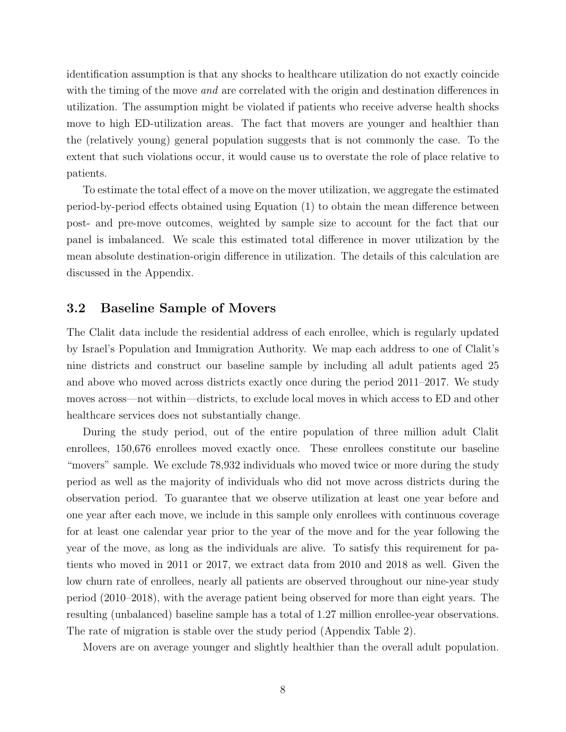identification assumption is that any shocks to healthcare utilization do not exactly coincide with the timing of the move *and* are correlated with the origin and destination differences in utilization. The assumption might be violated if patients who receive adverse health shocks move to high ED-utilization areas. The fact that movers are younger and healthier than the (relatively young) general population suggests that is not commonly the case. To the extent that such violations occur, it would cause us to overstate the role of place relative to patients.

To estimate the total effect of a move on the mover utilization, we aggregate the estimated period-by-period effects obtained using Equation [\(1\)](#page-8-1) to obtain the mean difference between post- and pre-move outcomes, weighted by sample size to account for the fact that our panel is imbalanced. We scale this estimated total difference in mover utilization by the mean absolute destination-origin difference in utilization. The details of this calculation are discussed in the Appendix.

#### 3.2 Baseline Sample of Movers

The Clalit data include the residential address of each enrollee, which is regularly updated by Israel's Population and Immigration Authority. We map each address to one of Clalit's nine districts and construct our baseline sample by including all adult patients aged 25 and above who moved across districts exactly once during the period 2011–2017. We study moves across—not within—districts, to exclude local moves in which access to ED and other healthcare services does not substantially change.

During the study period, out of the entire population of three million adult Clalit enrollees, 150,676 enrollees moved exactly once. These enrollees constitute our baseline "movers" sample. We exclude 78,932 individuals who moved twice or more during the study period as well as the majority of individuals who did not move across districts during the observation period. To guarantee that we observe utilization at least one year before and one year after each move, we include in this sample only enrollees with continuous coverage for at least one calendar year prior to the year of the move and for the year following the year of the move, as long as the individuals are alive. To satisfy this requirement for patients who moved in 2011 or 2017, we extract data from 2010 and 2018 as well. Given the low churn rate of enrollees, nearly all patients are observed throughout our nine-year study period (2010–2018), with the average patient being observed for more than eight years. The resulting (unbalanced) baseline sample has a total of 1.27 million enrollee-year observations. The rate of migration is stable over the study period [\(Appendix Table 2\)](#page-37-0).

Movers are on average younger and slightly healthier than the overall adult population.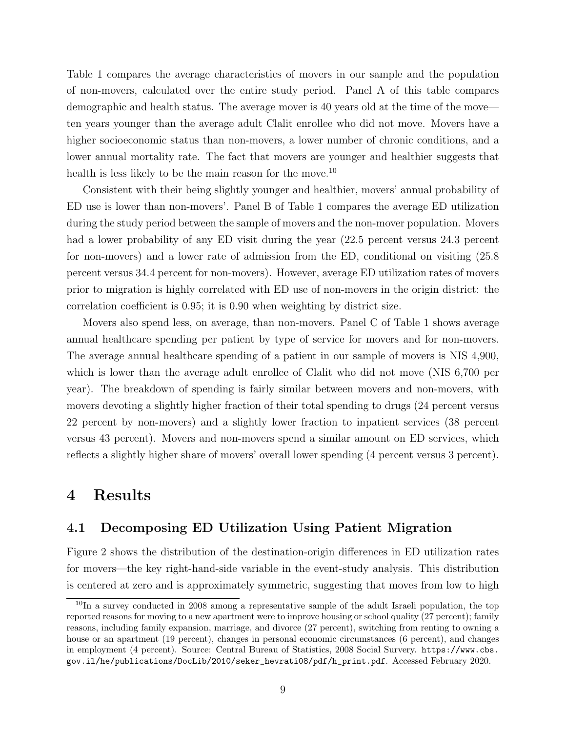Table [1](#page-22-0) compares the average characteristics of movers in our sample and the population of non-movers, calculated over the entire study period. Panel A of this table compares demographic and health status. The average mover is 40 years old at the time of the move ten years younger than the average adult Clalit enrollee who did not move. Movers have a higher socioeconomic status than non-movers, a lower number of chronic conditions, and a lower annual mortality rate. The fact that movers are younger and healthier suggests that health is less likely to be the main reason for the move.<sup>[10](#page-10-1)</sup>

Consistent with their being slightly younger and healthier, movers' annual probability of ED use is lower than non-movers'. Panel B of Table [1](#page-22-0) compares the average ED utilization during the study period between the sample of movers and the non-mover population. Movers had a lower probability of any ED visit during the year  $(22.5$  percent versus 24.3 percent for non-movers) and a lower rate of admission from the ED, conditional on visiting (25.8 percent versus 34.4 percent for non-movers). However, average ED utilization rates of movers prior to migration is highly correlated with ED use of non-movers in the origin district: the correlation coefficient is 0.95; it is 0.90 when weighting by district size.

Movers also spend less, on average, than non-movers. Panel C of Table [1](#page-22-0) shows average annual healthcare spending per patient by type of service for movers and for non-movers. The average annual healthcare spending of a patient in our sample of movers is NIS 4,900, which is lower than the average adult enrollee of Clalit who did not move (NIS 6,700 per year). The breakdown of spending is fairly similar between movers and non-movers, with movers devoting a slightly higher fraction of their total spending to drugs (24 percent versus 22 percent by non-movers) and a slightly lower fraction to inpatient services (38 percent versus 43 percent). Movers and non-movers spend a similar amount on ED services, which reflects a slightly higher share of movers' overall lower spending (4 percent versus 3 percent).

### <span id="page-10-0"></span>4 Results

### 4.1 Decomposing ED Utilization Using Patient Migration

Figure [2](#page-19-0) shows the distribution of the destination-origin differences in ED utilization rates for movers—the key right-hand-side variable in the event-study analysis. This distribution is centered at zero and is approximately symmetric, suggesting that moves from low to high

<span id="page-10-1"></span><sup>&</sup>lt;sup>10</sup>In a survey conducted in 2008 among a representative sample of the adult Israeli population, the top reported reasons for moving to a new apartment were to improve housing or school quality (27 percent); family reasons, including family expansion, marriage, and divorce (27 percent), switching from renting to owning a house or an apartment (19 percent), changes in personal economic circumstances (6 percent), and changes in employment (4 percent). Source: Central Bureau of Statistics, 2008 Social Survery. [https://www.cbs.](https://www.cbs.gov.il/he/publications/DocLib/2010/seker_hevrati08/pdf/h_print.pdf) [gov.il/he/publications/DocLib/2010/seker\\_hevrati08/pdf/h\\_print.pdf](https://www.cbs.gov.il/he/publications/DocLib/2010/seker_hevrati08/pdf/h_print.pdf). Accessed February 2020.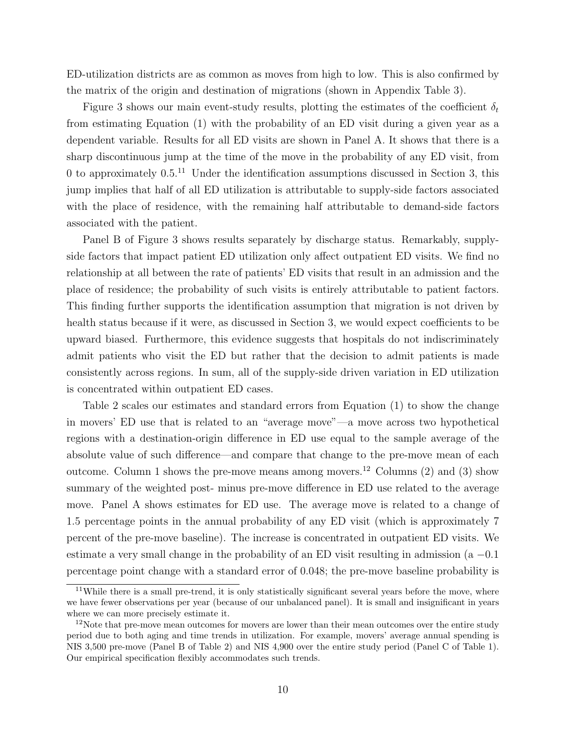ED-utilization districts are as common as moves from high to low. This is also confirmed by the matrix of the origin and destination of migrations (shown in [Appendix Table 3\)](#page-38-0).

Figure [3](#page-20-0) shows our main event-study results, plotting the estimates of the coefficient  $\delta_t$ from estimating Equation [\(1\)](#page-8-1) with the probability of an ED visit during a given year as a dependent variable. Results for all ED visits are shown in Panel A. It shows that there is a sharp discontinuous jump at the time of the move in the probability of any ED visit, from 0 to approximately  $0.5^{11}$  $0.5^{11}$  $0.5^{11}$  Under the identification assumptions discussed in Section [3,](#page-7-0) this jump implies that half of all ED utilization is attributable to supply-side factors associated with the place of residence, with the remaining half attributable to demand-side factors associated with the patient.

Panel B of Figure [3](#page-20-0) shows results separately by discharge status. Remarkably, supplyside factors that impact patient ED utilization only affect outpatient ED visits. We find no relationship at all between the rate of patients' ED visits that result in an admission and the place of residence; the probability of such visits is entirely attributable to patient factors. This finding further supports the identification assumption that migration is not driven by health status because if it were, as discussed in Section [3,](#page-7-0) we would expect coefficients to be upward biased. Furthermore, this evidence suggests that hospitals do not indiscriminately admit patients who visit the ED but rather that the decision to admit patients is made consistently across regions. In sum, all of the supply-side driven variation in ED utilization is concentrated within outpatient ED cases.

Table [2](#page-23-0) scales our estimates and standard errors from Equation [\(1\)](#page-8-1) to show the change in movers' ED use that is related to an "average move"—a move across two hypothetical regions with a destination-origin difference in ED use equal to the sample average of the absolute value of such difference—and compare that change to the pre-move mean of each outcome. Column 1 shows the pre-move means among movers.[12](#page-11-1) Columns (2) and (3) show summary of the weighted post- minus pre-move difference in ED use related to the average move. Panel A shows estimates for ED use. The average move is related to a change of 1.5 percentage points in the annual probability of any ED visit (which is approximately 7 percent of the pre-move baseline). The increase is concentrated in outpatient ED visits. We estimate a very small change in the probability of an ED visit resulting in admission  $(a - 0.1)$ percentage point change with a standard error of 0.048; the pre-move baseline probability is

<span id="page-11-0"></span><sup>&</sup>lt;sup>11</sup>While there is a small pre-trend, it is only statistically significant several years before the move, where we have fewer observations per year (because of our unbalanced panel). It is small and insignificant in years where we can more precisely estimate it.

<span id="page-11-1"></span> $12$ Note that pre-move mean outcomes for movers are lower than their mean outcomes over the entire study period due to both aging and time trends in utilization. For example, movers' average annual spending is NIS 3,500 pre-move (Panel B of Table [2\)](#page-23-0) and NIS 4,900 over the entire study period (Panel C of Table [1\)](#page-22-0). Our empirical specification flexibly accommodates such trends.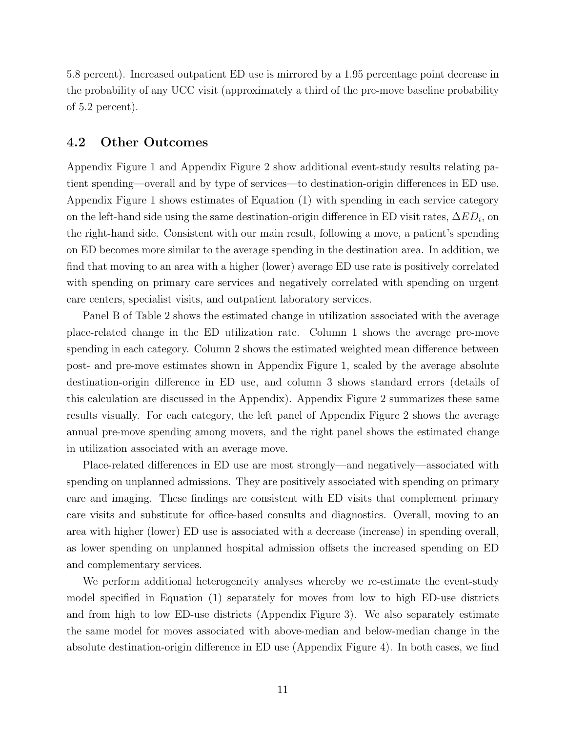5.8 percent). Increased outpatient ED use is mirrored by a 1.95 percentage point decrease in the probability of any UCC visit (approximately a third of the pre-move baseline probability of 5.2 percent).

### 4.2 Other Outcomes

[Appendix Figure 1](#page-27-0) and [Appendix Figure 2](#page-28-0) show additional event-study results relating patient spending—overall and by type of services—to destination-origin differences in ED use. [Appendix Figure 1](#page-27-0) shows estimates of Equation [\(1\)](#page-8-1) with spending in each service category on the left-hand side using the same destination-origin difference in ED visit rates,  $\Delta ED_i$ , on the right-hand side. Consistent with our main result, following a move, a patient's spending on ED becomes more similar to the average spending in the destination area. In addition, we find that moving to an area with a higher (lower) average ED use rate is positively correlated with spending on primary care services and negatively correlated with spending on urgent care centers, specialist visits, and outpatient laboratory services.

Panel B of Table [2](#page-23-0) shows the estimated change in utilization associated with the average place-related change in the ED utilization rate. Column 1 shows the average pre-move spending in each category. Column 2 shows the estimated weighted mean difference between post- and pre-move estimates shown in [Appendix Figure 1,](#page-27-0) scaled by the average absolute destination-origin difference in ED use, and column 3 shows standard errors (details of this calculation are discussed in the Appendix). [Appendix Figure 2](#page-28-0) summarizes these same results visually. For each category, the left panel of [Appendix Figure 2](#page-28-0) shows the average annual pre-move spending among movers, and the right panel shows the estimated change in utilization associated with an average move.

Place-related differences in ED use are most strongly—and negatively—associated with spending on unplanned admissions. They are positively associated with spending on primary care and imaging. These findings are consistent with ED visits that complement primary care visits and substitute for office-based consults and diagnostics. Overall, moving to an area with higher (lower) ED use is associated with a decrease (increase) in spending overall, as lower spending on unplanned hospital admission offsets the increased spending on ED and complementary services.

We perform additional heterogeneity analyses whereby we re-estimate the event-study model specified in Equation [\(1\)](#page-8-1) separately for moves from low to high ED-use districts and from high to low ED-use districts [\(Appendix Figure 3\)](#page-29-0). We also separately estimate the same model for moves associated with above-median and below-median change in the absolute destination-origin difference in ED use [\(Appendix Figure 4\)](#page-30-0). In both cases, we find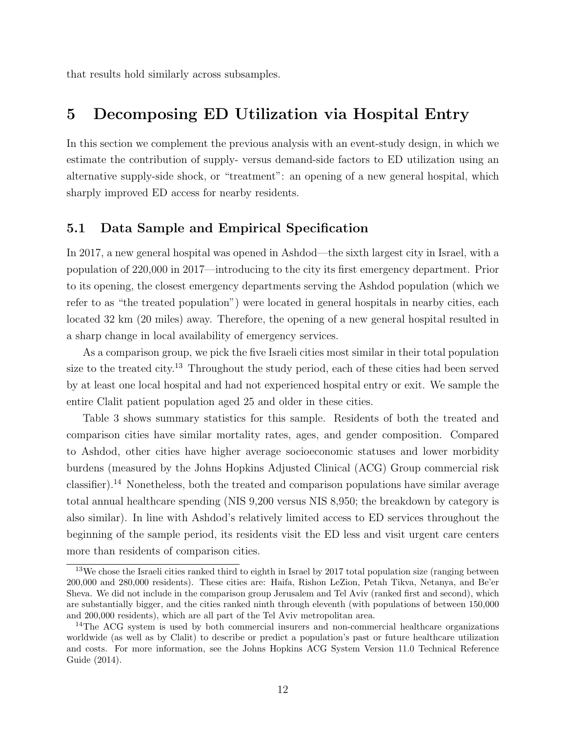that results hold similarly across subsamples.

# <span id="page-13-0"></span>5 Decomposing ED Utilization via Hospital Entry

In this section we complement the previous analysis with an event-study design, in which we estimate the contribution of supply- versus demand-side factors to ED utilization using an alternative supply-side shock, or "treatment": an opening of a new general hospital, which sharply improved ED access for nearby residents.

### 5.1 Data Sample and Empirical Specification

In 2017, a new general hospital was opened in Ashdod—the sixth largest city in Israel, with a population of 220,000 in 2017—introducing to the city its first emergency department. Prior to its opening, the closest emergency departments serving the Ashdod population (which we refer to as "the treated population") were located in general hospitals in nearby cities, each located 32 km (20 miles) away. Therefore, the opening of a new general hospital resulted in a sharp change in local availability of emergency services.

As a comparison group, we pick the five Israeli cities most similar in their total population size to the treated city.<sup>[13](#page-13-1)</sup> Throughout the study period, each of these cities had been served by at least one local hospital and had not experienced hospital entry or exit. We sample the entire Clalit patient population aged 25 and older in these cities.

Table [3](#page-24-0) shows summary statistics for this sample. Residents of both the treated and comparison cities have similar mortality rates, ages, and gender composition. Compared to Ashdod, other cities have higher average socioeconomic statuses and lower morbidity burdens (measured by the Johns Hopkins Adjusted Clinical (ACG) Group commercial risk classifier).<sup>[14](#page-13-2)</sup> Nonetheless, both the treated and comparison populations have similar average total annual healthcare spending (NIS 9,200 versus NIS 8,950; the breakdown by category is also similar). In line with Ashdod's relatively limited access to ED services throughout the beginning of the sample period, its residents visit the ED less and visit urgent care centers more than residents of comparison cities.

<span id="page-13-1"></span><sup>&</sup>lt;sup>13</sup>We chose the Israeli cities ranked third to eighth in Israel by 2017 total population size (ranging between 200,000 and 280,000 residents). These cities are: Haifa, Rishon LeZion, Petah Tikva, Netanya, and Be'er Sheva. We did not include in the comparison group Jerusalem and Tel Aviv (ranked first and second), which are substantially bigger, and the cities ranked ninth through eleventh (with populations of between 150,000 and 200,000 residents), which are all part of the Tel Aviv metropolitan area.

<span id="page-13-2"></span><sup>&</sup>lt;sup>14</sup>The ACG system is used by both commercial insurers and non-commercial healthcare organizations worldwide (as well as by Clalit) to describe or predict a population's past or future healthcare utilization and costs. For more information, see the Johns Hopkins ACG System Version 11.0 Technical Reference Guide (2014).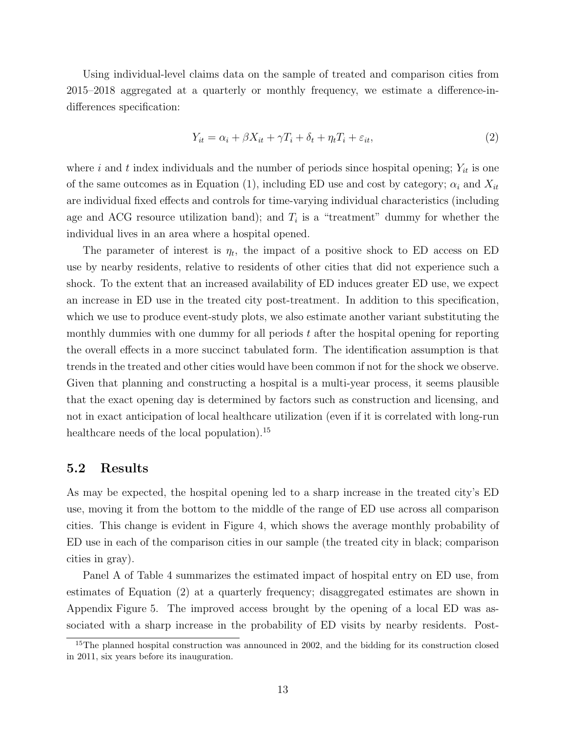Using individual-level claims data on the sample of treated and comparison cities from 2015–2018 aggregated at a quarterly or monthly frequency, we estimate a difference-indifferences specification:

<span id="page-14-1"></span>
$$
Y_{it} = \alpha_i + \beta X_{it} + \gamma T_i + \delta_t + \eta_t T_i + \varepsilon_{it},\tag{2}
$$

where i and t index individuals and the number of periods since hospital opening;  $Y_{it}$  is one of the same outcomes as in Equation [\(1\)](#page-8-1), including ED use and cost by category;  $\alpha_i$  and  $X_{it}$ are individual fixed effects and controls for time-varying individual characteristics (including age and ACG resource utilization band); and  $T_i$  is a "treatment" dummy for whether the individual lives in an area where a hospital opened.

The parameter of interest is  $\eta_t$ , the impact of a positive shock to ED access on ED use by nearby residents, relative to residents of other cities that did not experience such a shock. To the extent that an increased availability of ED induces greater ED use, we expect an increase in ED use in the treated city post-treatment. In addition to this specification, which we use to produce event-study plots, we also estimate another variant substituting the monthly dummies with one dummy for all periods  $t$  after the hospital opening for reporting the overall effects in a more succinct tabulated form. The identification assumption is that trends in the treated and other cities would have been common if not for the shock we observe. Given that planning and constructing a hospital is a multi-year process, it seems plausible that the exact opening day is determined by factors such as construction and licensing, and not in exact anticipation of local healthcare utilization (even if it is correlated with long-run healthcare needs of the local population).<sup>[15](#page-14-0)</sup>

#### 5.2 Results

As may be expected, the hospital opening led to a sharp increase in the treated city's ED use, moving it from the bottom to the middle of the range of ED use across all comparison cities. This change is evident in Figure [4,](#page-21-0) which shows the average monthly probability of ED use in each of the comparison cities in our sample (the treated city in black; comparison cities in gray).

Panel A of Table [4](#page-25-0) summarizes the estimated impact of hospital entry on ED use, from estimates of Equation [\(2\)](#page-14-1) at a quarterly frequency; disaggregated estimates are shown in [Appendix Figure 5.](#page-31-0) The improved access brought by the opening of a local ED was associated with a sharp increase in the probability of ED visits by nearby residents. Post-

<span id="page-14-0"></span><sup>&</sup>lt;sup>15</sup>The planned hospital construction was announced in 2002, and the bidding for its construction closed in 2011, six years before its inauguration.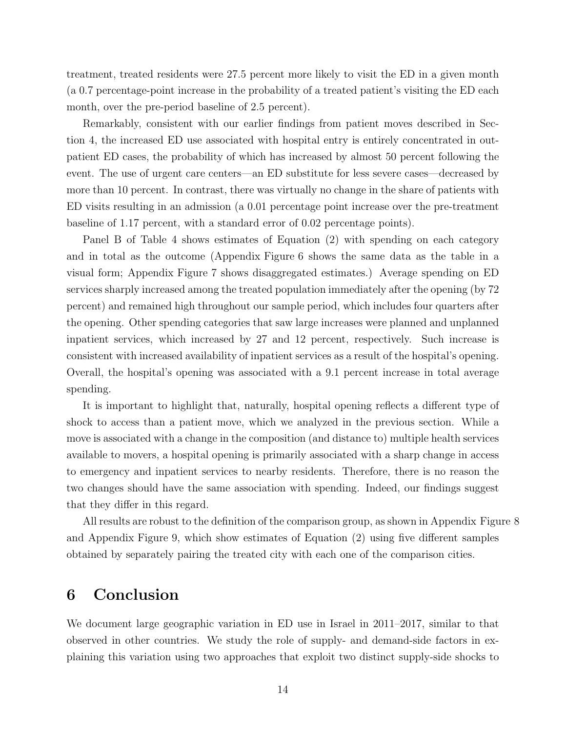treatment, treated residents were 27.5 percent more likely to visit the ED in a given month (a 0.7 percentage-point increase in the probability of a treated patient's visiting the ED each month, over the pre-period baseline of 2.5 percent).

Remarkably, consistent with our earlier findings from patient moves described in Section [4,](#page-10-0) the increased ED use associated with hospital entry is entirely concentrated in outpatient ED cases, the probability of which has increased by almost 50 percent following the event. The use of urgent care centers—an ED substitute for less severe cases—decreased by more than 10 percent. In contrast, there was virtually no change in the share of patients with ED visits resulting in an admission (a 0.01 percentage point increase over the pre-treatment baseline of 1.17 percent, with a standard error of 0.02 percentage points).

Panel B of Table [4](#page-25-0) shows estimates of Equation [\(2\)](#page-14-1) with spending on each category and in total as the outcome [\(Appendix Figure 6](#page-32-0) shows the same data as the table in a visual form; [Appendix Figure 7](#page-33-0) shows disaggregated estimates.) Average spending on ED services sharply increased among the treated population immediately after the opening (by 72 percent) and remained high throughout our sample period, which includes four quarters after the opening. Other spending categories that saw large increases were planned and unplanned inpatient services, which increased by 27 and 12 percent, respectively. Such increase is consistent with increased availability of inpatient services as a result of the hospital's opening. Overall, the hospital's opening was associated with a 9.1 percent increase in total average spending.

It is important to highlight that, naturally, hospital opening reflects a different type of shock to access than a patient move, which we analyzed in the previous section. While a move is associated with a change in the composition (and distance to) multiple health services available to movers, a hospital opening is primarily associated with a sharp change in access to emergency and inpatient services to nearby residents. Therefore, there is no reason the two changes should have the same association with spending. Indeed, our findings suggest that they differ in this regard.

All results are robust to the definition of the comparison group, as shown in [Appendix Figure 8](#page-34-0) and [Appendix Figure 9,](#page-35-0) which show estimates of Equation [\(2\)](#page-14-1) using five different samples obtained by separately pairing the treated city with each one of the comparison cities.

### <span id="page-15-0"></span>6 Conclusion

We document large geographic variation in ED use in Israel in 2011–2017, similar to that observed in other countries. We study the role of supply- and demand-side factors in explaining this variation using two approaches that exploit two distinct supply-side shocks to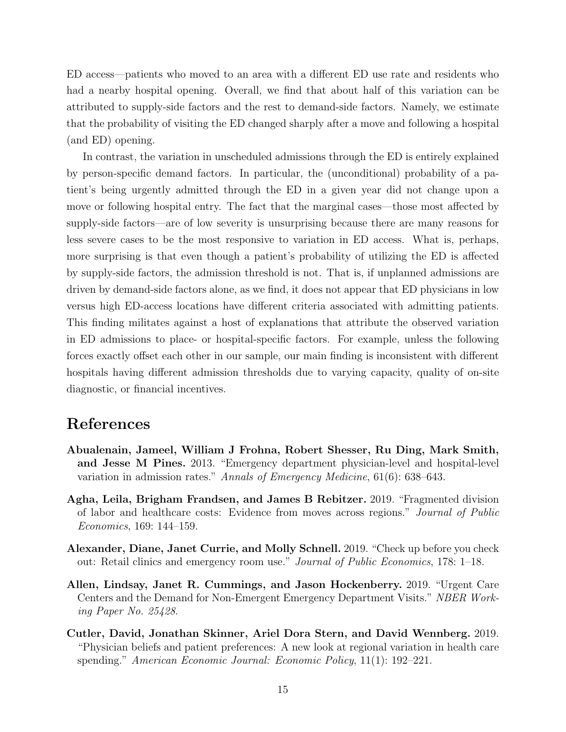ED access—patients who moved to an area with a different ED use rate and residents who had a nearby hospital opening. Overall, we find that about half of this variation can be attributed to supply-side factors and the rest to demand-side factors. Namely, we estimate that the probability of visiting the ED changed sharply after a move and following a hospital (and ED) opening.

In contrast, the variation in unscheduled admissions through the ED is entirely explained by person-specific demand factors. In particular, the (unconditional) probability of a patient's being urgently admitted through the ED in a given year did not change upon a move or following hospital entry. The fact that the marginal cases—those most affected by supply-side factors—are of low severity is unsurprising because there are many reasons for less severe cases to be the most responsive to variation in ED access. What is, perhaps, more surprising is that even though a patient's probability of utilizing the ED is affected by supply-side factors, the admission threshold is not. That is, if unplanned admissions are driven by demand-side factors alone, as we find, it does not appear that ED physicians in low versus high ED-access locations have different criteria associated with admitting patients. This finding militates against a host of explanations that attribute the observed variation in ED admissions to place- or hospital-specific factors. For example, unless the following forces exactly offset each other in our sample, our main finding is inconsistent with different hospitals having different admission thresholds due to varying capacity, quality of on-site diagnostic, or financial incentives.

### References

- <span id="page-16-4"></span>Abualenain, Jameel, William J Frohna, Robert Shesser, Ru Ding, Mark Smith, and Jesse M Pines. 2013. "Emergency department physician-level and hospital-level variation in admission rates." Annals of Emergency Medicine, 61(6): 638–643.
- <span id="page-16-3"></span>Agha, Leila, Brigham Frandsen, and James B Rebitzer. 2019. "Fragmented division of labor and healthcare costs: Evidence from moves across regions." Journal of Public Economics, 169: 144–159.
- <span id="page-16-0"></span>Alexander, Diane, Janet Currie, and Molly Schnell. 2019. "Check up before you check out: Retail clinics and emergency room use." Journal of Public Economics, 178: 1–18.
- <span id="page-16-1"></span>Allen, Lindsay, Janet R. Cummings, and Jason Hockenberry. 2019. "Urgent Care Centers and the Demand for Non-Emergent Emergency Department Visits." NBER Working Paper No. 25428.
- <span id="page-16-2"></span>Cutler, David, Jonathan Skinner, Ariel Dora Stern, and David Wennberg. 2019. "Physician beliefs and patient preferences: A new look at regional variation in health care spending." American Economic Journal: Economic Policy, 11(1): 192–221.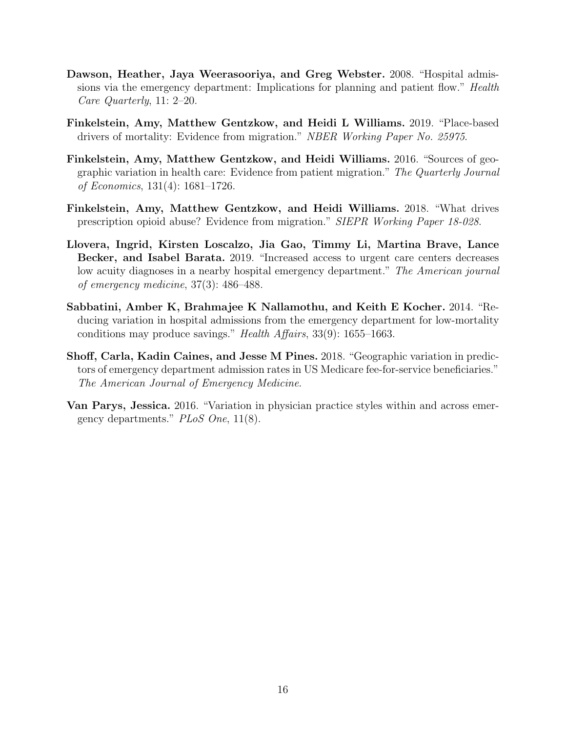- <span id="page-17-5"></span>Dawson, Heather, Jaya Weerasooriya, and Greg Webster. 2008. "Hospital admissions via the emergency department: Implications for planning and patient flow." Health Care Quarterly, 11: 2–20.
- <span id="page-17-3"></span>Finkelstein, Amy, Matthew Gentzkow, and Heidi L Williams. 2019. "Place-based drivers of mortality: Evidence from migration." NBER Working Paper No. 25975.
- <span id="page-17-1"></span>Finkelstein, Amy, Matthew Gentzkow, and Heidi Williams. 2016. "Sources of geographic variation in health care: Evidence from patient migration." The Quarterly Journal of Economics, 131(4): 1681–1726.
- <span id="page-17-2"></span>Finkelstein, Amy, Matthew Gentzkow, and Heidi Williams. 2018. "What drives prescription opioid abuse? Evidence from migration." SIEPR Working Paper 18-028.
- <span id="page-17-7"></span>Llovera, Ingrid, Kirsten Loscalzo, Jia Gao, Timmy Li, Martina Brave, Lance Becker, and Isabel Barata. 2019. "Increased access to urgent care centers decreases low acuity diagnoses in a nearby hospital emergency department." The American journal of emergency medicine, 37(3): 486–488.
- <span id="page-17-0"></span>Sabbatini, Amber K, Brahmajee K Nallamothu, and Keith E Kocher. 2014. "Reducing variation in hospital admissions from the emergency department for low-mortality conditions may produce savings." Health Affairs, 33(9): 1655–1663.
- <span id="page-17-4"></span>Shoff, Carla, Kadin Caines, and Jesse M Pines. 2018. "Geographic variation in predictors of emergency department admission rates in US Medicare fee-for-service beneficiaries." The American Journal of Emergency Medicine.
- <span id="page-17-6"></span>Van Parys, Jessica. 2016. "Variation in physician practice styles within and across emergency departments." PLoS One, 11(8).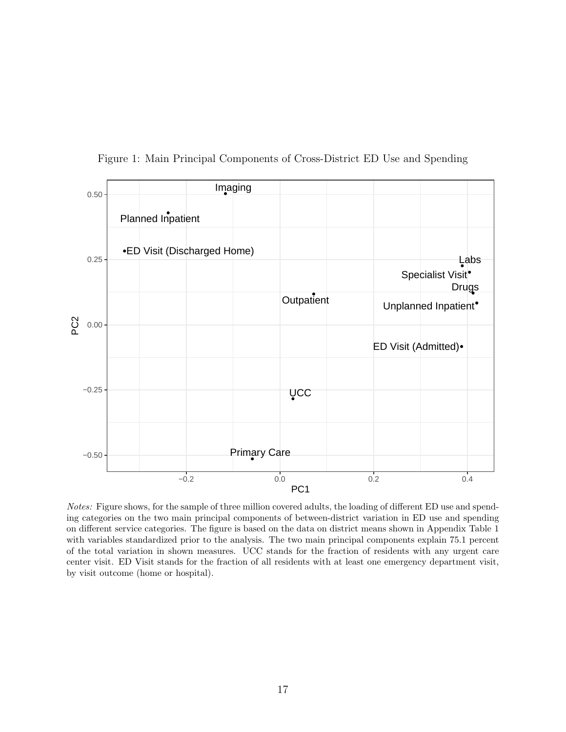<span id="page-18-0"></span>

Figure 1: Main Principal Components of Cross-District ED Use and Spending

Notes: Figure shows, for the sample of three million covered adults, the loading of different ED use and spending categories on the two main principal components of between-district variation in ED use and spending on different service categories. The figure is based on the data on district means shown in [Appendix Table 1](#page-36-0) with variables standardized prior to the analysis. The two main principal components explain 75.1 percent of the total variation in shown measures. UCC stands for the fraction of residents with any urgent care center visit. ED Visit stands for the fraction of all residents with at least one emergency department visit, by visit outcome (home or hospital).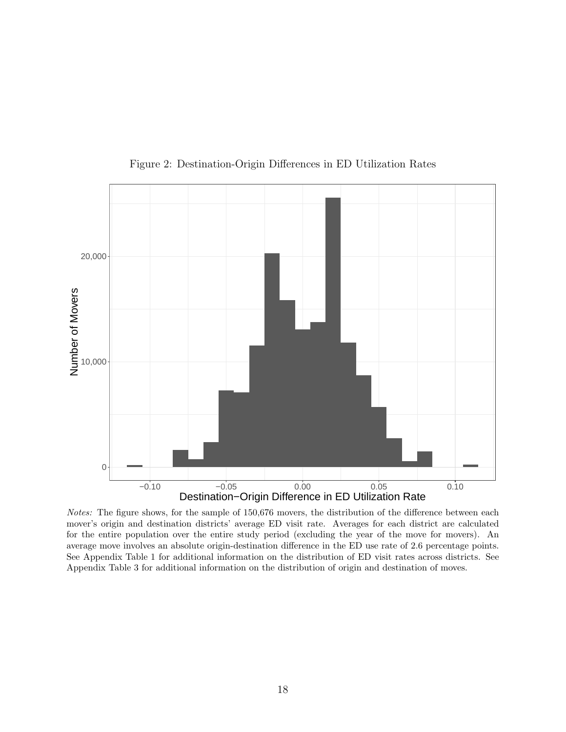<span id="page-19-0"></span>

Figure 2: Destination-Origin Differences in ED Utilization Rates

Notes: The figure shows, for the sample of 150,676 movers, the distribution of the difference between each mover's origin and destination districts' average ED visit rate. Averages for each district are calculated for the entire population over the entire study period (excluding the year of the move for movers). An average move involves an absolute origin-destination difference in the ED use rate of 2.6 percentage points. See [Appendix Table 1](#page-36-0) for additional information on the distribution of ED visit rates across districts. See [Appendix Table 3](#page-38-0) for additional information on the distribution of origin and destination of moves.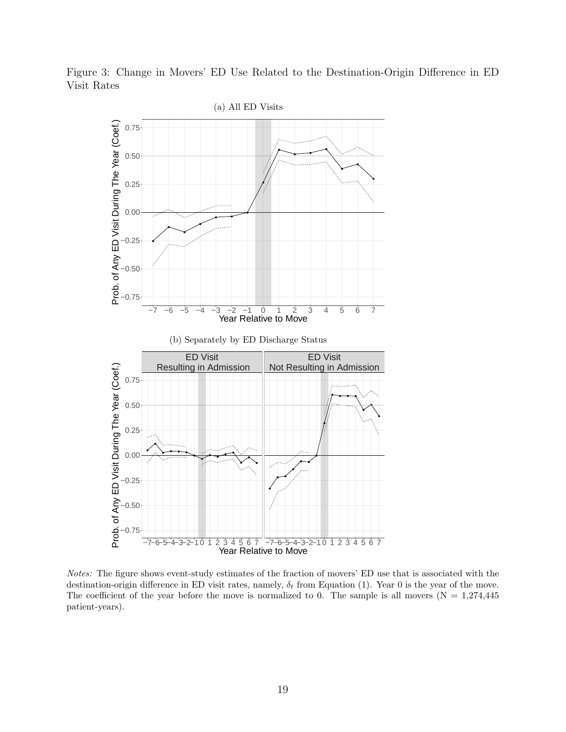<span id="page-20-0"></span>Figure 3: Change in Movers' ED Use Related to the Destination-Origin Difference in ED Visit Rates



Notes: The figure shows event-study estimates of the fraction of movers' ED use that is associated with the destination-origin difference in ED visit rates, namely,  $\delta_t$  from Equation [\(1\)](#page-8-1). Year 0 is the year of the move. The coefficient of the year before the move is normalized to 0. The sample is all movers  $(N = 1,274,445)$ patient-years).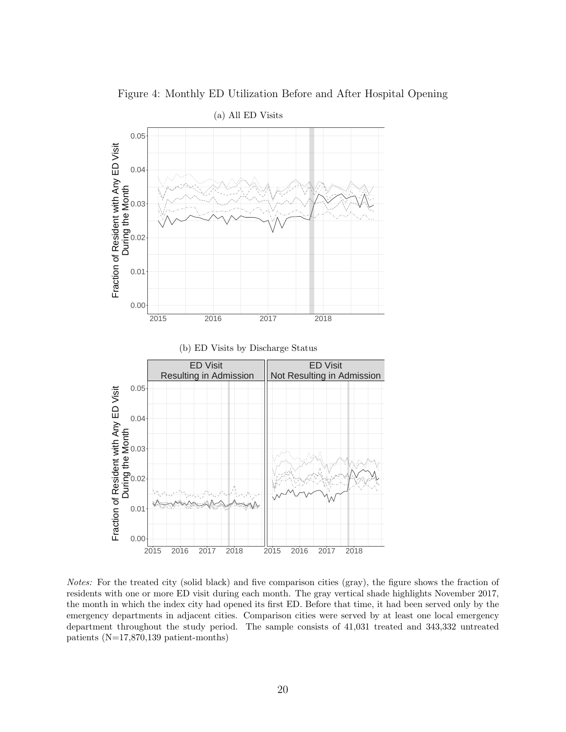<span id="page-21-0"></span>

Figure 4: Monthly ED Utilization Before and After Hospital Opening

(b) ED Visits by Discharge Status



Notes: For the treated city (solid black) and five comparison cities (gray), the figure shows the fraction of residents with one or more ED visit during each month. The gray vertical shade highlights November 2017, the month in which the index city had opened its first ED. Before that time, it had been served only by the emergency departments in adjacent cities. Comparison cities were served by at least one local emergency department throughout the study period. The sample consists of 41,031 treated and 343,332 untreated patients (N=17,870,139 patient-months)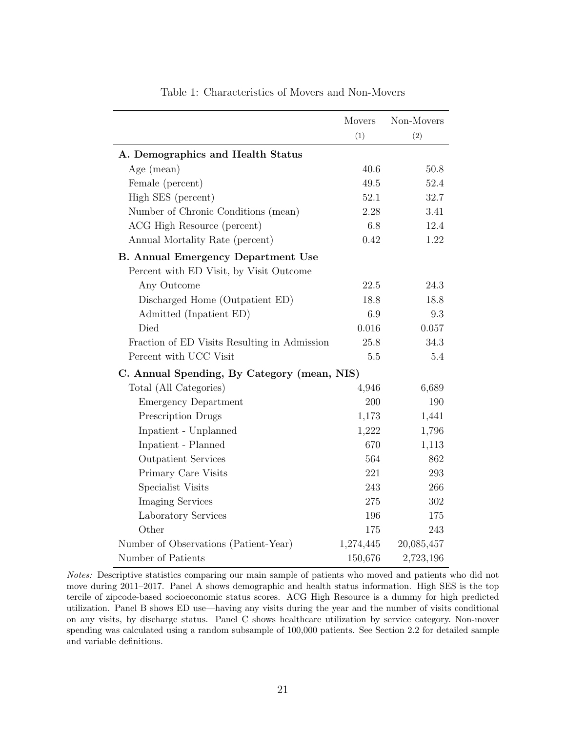<span id="page-22-0"></span>

|                                              | <b>Movers</b> | Non-Movers |
|----------------------------------------------|---------------|------------|
|                                              | (1)           | (2)        |
| A. Demographics and Health Status            |               |            |
| Age $(mean)$                                 | 40.6          | 50.8       |
| Female (percent)                             | 49.5          | 52.4       |
| High SES (percent)                           | 52.1          | 32.7       |
| Number of Chronic Conditions (mean)          | 2.28          | 3.41       |
| ACG High Resource (percent)                  | 6.8           | 12.4       |
| Annual Mortality Rate (percent)              | 0.42          | 1.22       |
| <b>B.</b> Annual Emergency Department Use    |               |            |
| Percent with ED Visit, by Visit Outcome      |               |            |
| Any Outcome                                  | 22.5          | 24.3       |
| Discharged Home (Outpatient ED)              | 18.8          | 18.8       |
| Admitted (Inpatient ED)                      | 6.9           | $\,9.3$    |
| Died                                         | 0.016         | $0.057\,$  |
| Fraction of ED Visits Resulting in Admission | 25.8          | 34.3       |
| Percent with UCC Visit                       | 5.5           | 5.4        |
| C. Annual Spending, By Category (mean, NIS)  |               |            |
| Total (All Categories)                       | 4,946         | 6,689      |
| <b>Emergency Department</b>                  | 200           | 190        |
| Prescription Drugs                           | 1,173         | 1,441      |
| Inpatient - Unplanned                        | 1,222         | 1,796      |
| Inpatient - Planned                          | 670           | 1,113      |
| <b>Outpatient Services</b>                   | 564           | 862        |
| Primary Care Visits                          | 221           | 293        |
| Specialist Visits                            | 243           | 266        |
| <b>Imaging Services</b>                      | 275           | $302\,$    |
| Laboratory Services                          | 196           | 175        |
| Other                                        | 175           | 243        |
| Number of Observations (Patient-Year)        | 1,274,445     | 20,085,457 |
| Number of Patients                           | 150,676       | 2,723,196  |

Table 1: Characteristics of Movers and Non-Movers

Notes: Descriptive statistics comparing our main sample of patients who moved and patients who did not move during 2011–2017. Panel A shows demographic and health status information. High SES is the top tercile of zipcode-based socioeconomic status scores. ACG High Resource is a dummy for high predicted utilization. Panel B shows ED use—having any visits during the year and the number of visits conditional on any visits, by discharge status. Panel C shows healthcare utilization by service category. Non-mover spending was calculated using a random subsample of 100,000 patients. See Section [2.2](#page-6-1) for detailed sample and variable definitions.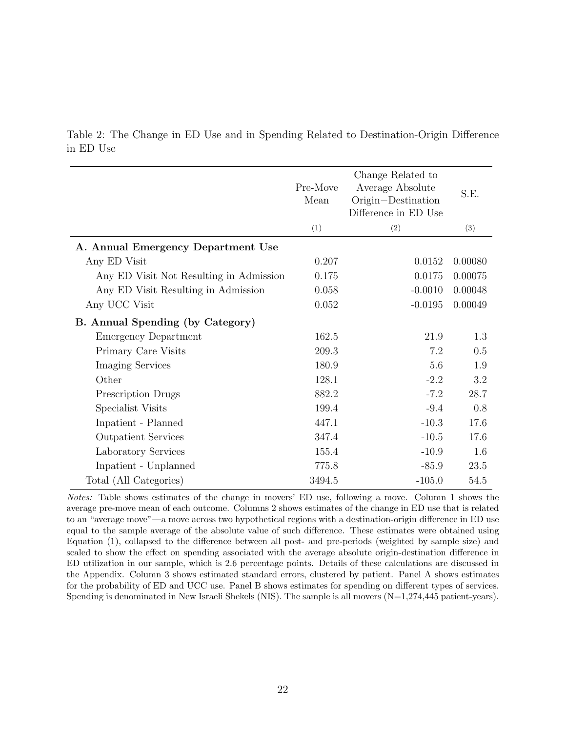|                                         | Pre-Move<br>Mean | Change Related to<br>Average Absolute<br>Origin-Destination<br>Difference in ED Use | S.E.    |
|-----------------------------------------|------------------|-------------------------------------------------------------------------------------|---------|
|                                         | (1)              | (2)                                                                                 | (3)     |
| A. Annual Emergency Department Use      |                  |                                                                                     |         |
| Any ED Visit                            | 0.207            | 0.0152                                                                              | 0.00080 |
| Any ED Visit Not Resulting in Admission | 0.175            | 0.0175                                                                              | 0.00075 |
| Any ED Visit Resulting in Admission     | 0.058            | $-0.0010$                                                                           | 0.00048 |
| Any UCC Visit                           | 0.052            | $-0.0195$                                                                           | 0.00049 |
| B. Annual Spending (by Category)        |                  |                                                                                     |         |
| <b>Emergency Department</b>             | 162.5            | 21.9                                                                                | 1.3     |
| Primary Care Visits                     | 209.3            | 7.2                                                                                 | 0.5     |
| <b>Imaging Services</b>                 | 180.9            | 5.6                                                                                 | 1.9     |
| Other                                   | 128.1            | $-2.2$                                                                              | 3.2     |
| <b>Prescription Drugs</b>               | 882.2            | $-7.2$                                                                              | 28.7    |
| Specialist Visits                       | 199.4            | $-9.4$                                                                              | 0.8     |
| Inpatient - Planned                     | 447.1            | $-10.3$                                                                             | 17.6    |
| <b>Outpatient Services</b>              | 347.4            | $-10.5$                                                                             | 17.6    |
| Laboratory Services                     | 155.4            | $-10.9$                                                                             | 1.6     |
| Inpatient - Unplanned                   | 775.8            | $-85.9$                                                                             | 23.5    |
| Total (All Categories)                  | 3494.5           | $-105.0$                                                                            | 54.5    |

<span id="page-23-0"></span>Table 2: The Change in ED Use and in Spending Related to Destination-Origin Difference in ED Use

Notes: Table shows estimates of the change in movers' ED use, following a move. Column 1 shows the average pre-move mean of each outcome. Columns 2 shows estimates of the change in ED use that is related to an "average move"—a move across two hypothetical regions with a destination-origin difference in ED use equal to the sample average of the absolute value of such difference. These estimates were obtained using Equation [\(1\)](#page-8-1), collapsed to the difference between all post- and pre-periods (weighted by sample size) and scaled to show the effect on spending associated with the average absolute origin-destination difference in ED utilization in our sample, which is 2.6 percentage points. Details of these calculations are discussed in the Appendix. Column 3 shows estimated standard errors, clustered by patient. Panel A shows estimates for the probability of ED and UCC use. Panel B shows estimates for spending on different types of services. Spending is denominated in New Israeli Shekels (NIS). The sample is all movers (N=1,274,445 patient-years).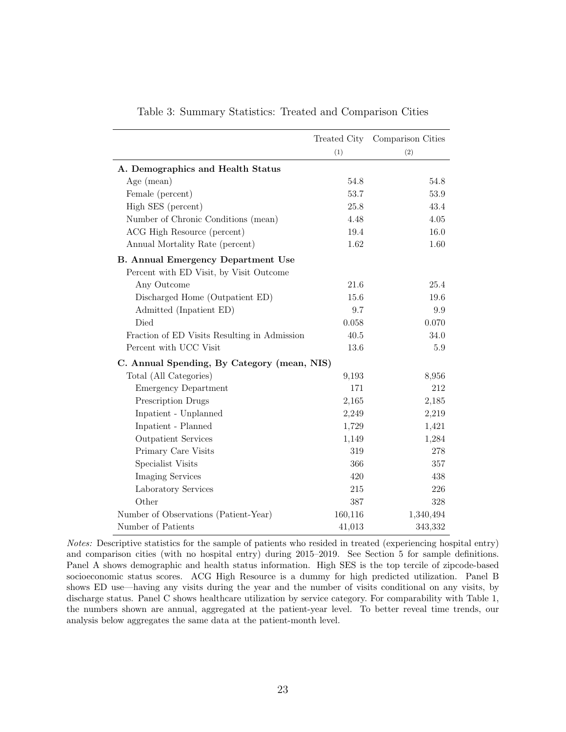<span id="page-24-0"></span>

|                                              | Treated City | Comparison Cities |
|----------------------------------------------|--------------|-------------------|
|                                              | (1)          | (2)               |
| A. Demographics and Health Status            |              |                   |
| Age (mean)                                   | 54.8         | 54.8              |
| Female (percent)                             | 53.7         | 53.9              |
| High SES (percent)                           | 25.8         | 43.4              |
| Number of Chronic Conditions (mean)          | 4.48         | 4.05              |
| ACG High Resource (percent)                  | 19.4         | 16.0              |
| Annual Mortality Rate (percent)              | 1.62         | 1.60              |
| <b>B. Annual Emergency Department Use</b>    |              |                   |
| Percent with ED Visit, by Visit Outcome      |              |                   |
| Any Outcome                                  | 21.6         | 25.4              |
| Discharged Home (Outpatient ED)              | 15.6         | 19.6              |
| Admitted (Inpatient ED)                      | 9.7          | 9.9               |
| Died                                         | 0.058        | 0.070             |
| Fraction of ED Visits Resulting in Admission | 40.5         | 34.0              |
| Percent with UCC Visit                       | 13.6         | 5.9               |
| C. Annual Spending, By Category (mean, NIS)  |              |                   |
| Total (All Categories)                       | 9,193        | 8,956             |
| <b>Emergency Department</b>                  | 171          | 212               |
| Prescription Drugs                           | 2,165        | 2,185             |
| Inpatient - Unplanned                        | 2,249        | 2,219             |
| Inpatient - Planned                          | 1,729        | 1,421             |
| <b>Outpatient Services</b>                   | 1,149        | 1,284             |
| Primary Care Visits                          | 319          | 278               |
| Specialist Visits                            | 366          | 357               |
| <b>Imaging Services</b>                      | 420          | 438               |
| Laboratory Services                          | 215          | 226               |
| Other                                        | 387          | 328               |
| Number of Observations (Patient-Year)        | 160,116      | 1,340,494         |
| Number of Patients                           | 41,013       | 343,332           |

|  |  | Table 3: Summary Statistics: Treated and Comparison Cities |  |
|--|--|------------------------------------------------------------|--|
|  |  |                                                            |  |

Notes: Descriptive statistics for the sample of patients who resided in treated (experiencing hospital entry) and comparison cities (with no hospital entry) during 2015–2019. See Section [5](#page-13-0) for sample definitions. Panel A shows demographic and health status information. High SES is the top tercile of zipcode-based socioeconomic status scores. ACG High Resource is a dummy for high predicted utilization. Panel B shows ED use—having any visits during the year and the number of visits conditional on any visits, by discharge status. Panel C shows healthcare utilization by service category. For comparability with Table [1,](#page-22-0) the numbers shown are annual, aggregated at the patient-year level. To better reveal time trends, our analysis below aggregates the same data at the patient-month level.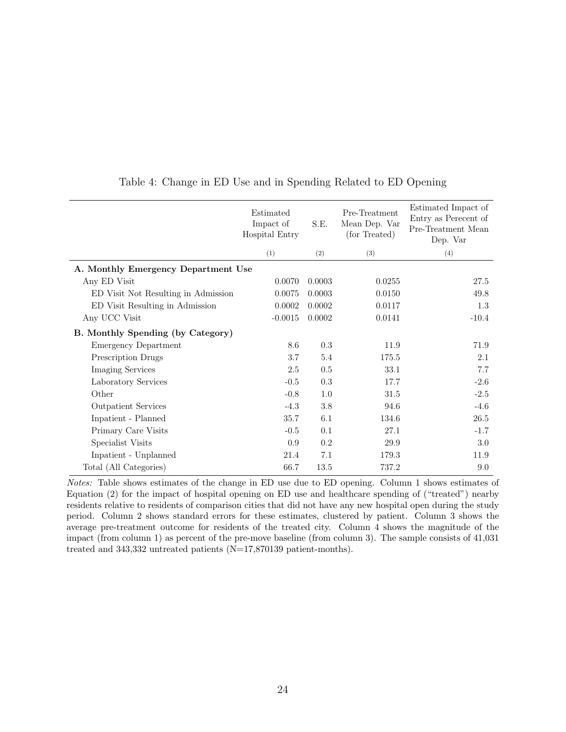<span id="page-25-0"></span>

|                                     | Estimated<br>Impact of<br>S.E.<br>Hospital Entry |           | Pre-Treatment<br>Mean Dep. Var<br>(for Treated) | Estimated Impact of<br>Entry as Perecent of<br>Pre-Treatment Mean<br>Dep. Var |
|-------------------------------------|--------------------------------------------------|-----------|-------------------------------------------------|-------------------------------------------------------------------------------|
|                                     | (1)                                              | (2)       | (3)                                             | (4)                                                                           |
| A. Monthly Emergency Department Use |                                                  |           |                                                 |                                                                               |
| Any ED Visit                        | 0.0070                                           | 0.0003    | 0.0255                                          | 27.5                                                                          |
| ED Visit Not Resulting in Admission | 0.0075                                           | 0.0003    | 0.0150                                          | 49.8                                                                          |
| ED Visit Resulting in Admission     | 0.0002                                           | 0.0002    | 0.0117                                          | $1.3\,$                                                                       |
| Any UCC Visit                       | $-0.0015$                                        | 0.0002    | 0.0141                                          | $-10.4$                                                                       |
| B. Monthly Spending (by Category)   |                                                  |           |                                                 |                                                                               |
| <b>Emergency Department</b>         | 8.6                                              | 0.3       | 11.9                                            | 71.9                                                                          |
| Prescription Drugs                  | 3.7                                              | 5.4       | 175.5                                           | 2.1                                                                           |
| <b>Imaging Services</b>             | 2.5                                              | 0.5       | 33.1                                            | 7.7                                                                           |
| Laboratory Services                 | $-0.5$                                           | $\rm 0.3$ | 17.7                                            | $-2.6$                                                                        |
| Other                               | $-0.8$                                           | 1.0       | 31.5                                            | $-2.5$                                                                        |
| <b>Outpatient Services</b>          | $-4.3$                                           | 3.8       | 94.6                                            | $-4.6$                                                                        |
| Inpatient - Planned                 | $35.7\,$                                         | 6.1       | 134.6                                           | $26.5\,$                                                                      |
| Primary Care Visits                 | $-0.5$                                           | 0.1       | 27.1                                            | $-1.7$                                                                        |
| Specialist Visits                   | 0.9                                              | 0.2       | 29.9                                            | 3.0                                                                           |
| Inpatient - Unplanned               | 21.4                                             | 7.1       | 179.3                                           | 11.9                                                                          |
| Total (All Categories)              | 66.7                                             | 13.5      | 737.2                                           | 9.0                                                                           |

#### Table 4: Change in ED Use and in Spending Related to ED Opening

Notes: Table shows estimates of the change in ED use due to ED opening. Column 1 shows estimates of Equation [\(2\)](#page-14-1) for the impact of hospital opening on ED use and healthcare spending of ("treated") nearby residents relative to residents of comparison cities that did not have any new hospital open during the study period. Column 2 shows standard errors for these estimates, clustered by patient. Column 3 shows the average pre-treatment outcome for residents of the treated city. Column 4 shows the magnitude of the impact (from column 1) as percent of the pre-move baseline (from column 3). The sample consists of 41,031 treated and 343,332 untreated patients (N=17,870139 patient-months).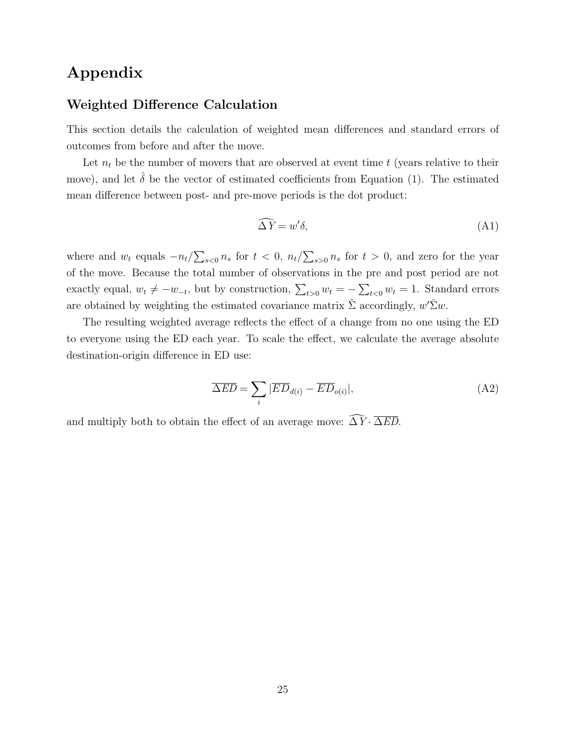### Appendix

### Weighted Difference Calculation

This section details the calculation of weighted mean differences and standard errors of outcomes from before and after the move.

Let  $n_t$  be the number of movers that are observed at event time t (years relative to their move), and let  $\hat{\delta}$  be the vector of estimated coefficients from Equation [\(1\)](#page-8-1). The estimated mean difference between post- and pre-move periods is the dot product:

$$
\widehat{\Delta Y} = w'\delta,\tag{A1}
$$

where and  $w_t$  equals  $-n_t/\sum_{s>0} n_s$  for  $t < 0$ ,  $n_t/\sum_{s>0} n_s$  for  $t > 0$ , and zero for the year of the move. Because the total number of observations in the pre and post period are not exactly equal,  $w_t \neq -w_{-t}$ , but by construction,  $\sum_{t>0} w_t = -\sum_{t<0} w_t = 1$ . Standard errors are obtained by weighting the estimated covariance matrix  $\hat{\Sigma}$  accordingly,  $w' \hat{\Sigma} w$ .

The resulting weighted average reflects the effect of a change from no one using the ED to everyone using the ED each year. To scale the effect, we calculate the average absolute destination-origin difference in ED use:

$$
\overline{\Delta ED} = \sum_{i} |\overline{ED}_{d(i)} - \overline{ED}_{o(i)}|,\tag{A2}
$$

and multiply both to obtain the effect of an average move:  $\widehat{\Delta Y} \cdot \overline{\Delta ED}$ .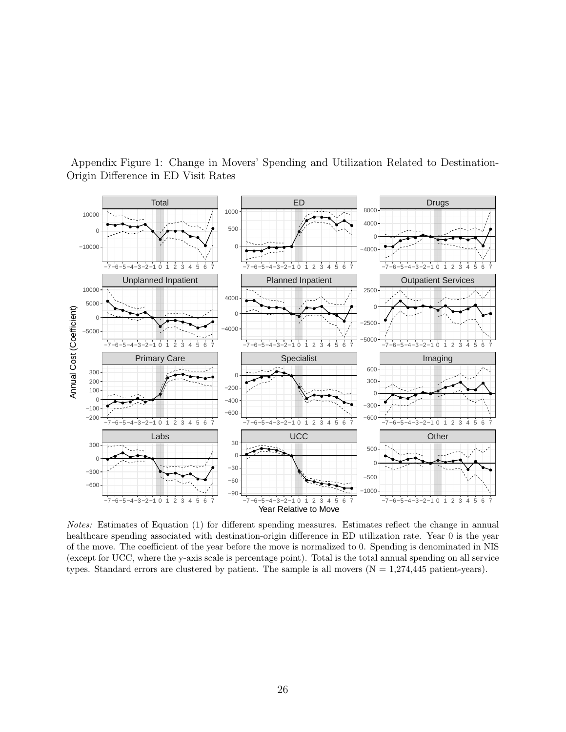

<span id="page-27-0"></span>Appendix Figure 1: Change in Movers' Spending and Utilization Related to Destination-Origin Difference in ED Visit Rates

Notes: Estimates of Equation [\(1\)](#page-8-1) for different spending measures. Estimates reflect the change in annual healthcare spending associated with destination-origin difference in ED utilization rate. Year 0 is the year of the move. The coefficient of the year before the move is normalized to 0. Spending is denominated in NIS (except for UCC, where the y-axis scale is percentage point). Total is the total annual spending on all service types. Standard errors are clustered by patient. The sample is all movers  $(N = 1,274,445$  patient-years).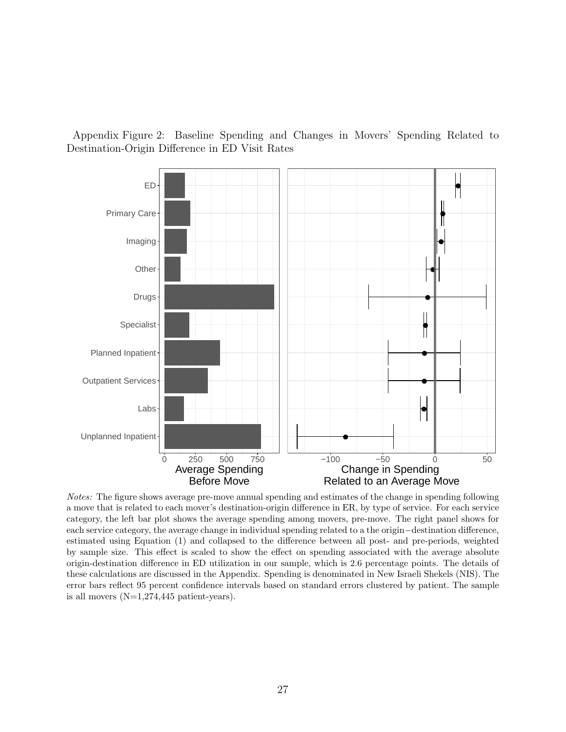<span id="page-28-0"></span>Appendix Figure 2: Baseline Spending and Changes in Movers' Spending Related to Destination-Origin Difference in ED Visit Rates



Notes: The figure shows average pre-move annual spending and estimates of the change in spending following a move that is related to each mover's destination-origin difference in ER, by type of service. For each service category, the left bar plot shows the average spending among movers, pre-move. The right panel shows for each service category, the average change in individual spending related to a the origin−destination difference, estimated using Equation [\(1\)](#page-8-1) and collapsed to the difference between all post- and pre-periods, weighted by sample size. This effect is scaled to show the effect on spending associated with the average absolute origin-destination difference in ED utilization in our sample, which is 2.6 percentage points. The details of these calculations are discussed in the Appendix. Spending is denominated in New Israeli Shekels (NIS). The error bars reflect 95 percent confidence intervals based on standard errors clustered by patient. The sample is all movers  $(N=1,274,445$  patient-years).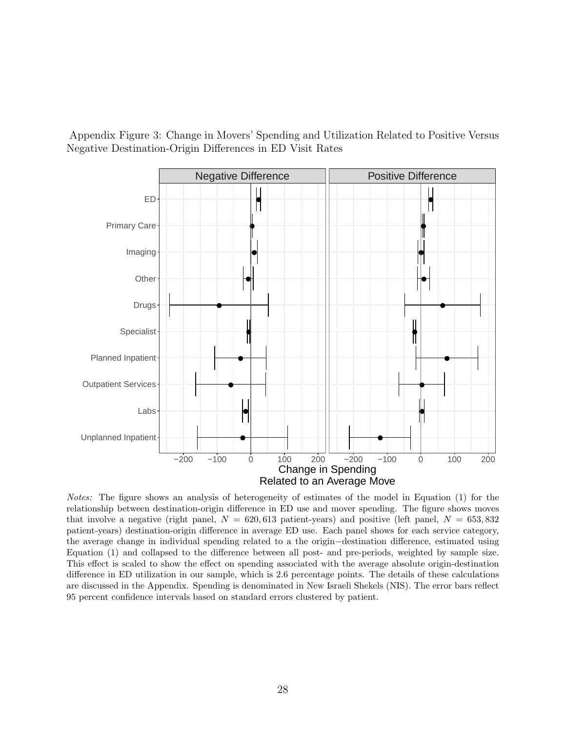<span id="page-29-0"></span>Appendix Figure 3: Change in Movers' Spending and Utilization Related to Positive Versus Negative Destination-Origin Differences in ED Visit Rates



Notes: The figure shows an analysis of heterogeneity of estimates of the model in Equation [\(1\)](#page-8-1) for the relationship between destination-origin difference in ED use and mover spending. The figure shows moves that involve a negative (right panel,  $N = 620,613$  patient-years) and positive (left panel,  $N = 653,832$ patient-years) destination-origin difference in average ED use. Each panel shows for each service category, the average change in individual spending related to a the origin−destination difference, estimated using Equation [\(1\)](#page-8-1) and collapsed to the difference between all post- and pre-periods, weighted by sample size. This effect is scaled to show the effect on spending associated with the average absolute origin-destination difference in ED utilization in our sample, which is 2.6 percentage points. The details of these calculations are discussed in the Appendix. Spending is denominated in New Israeli Shekels (NIS). The error bars reflect 95 percent confidence intervals based on standard errors clustered by patient.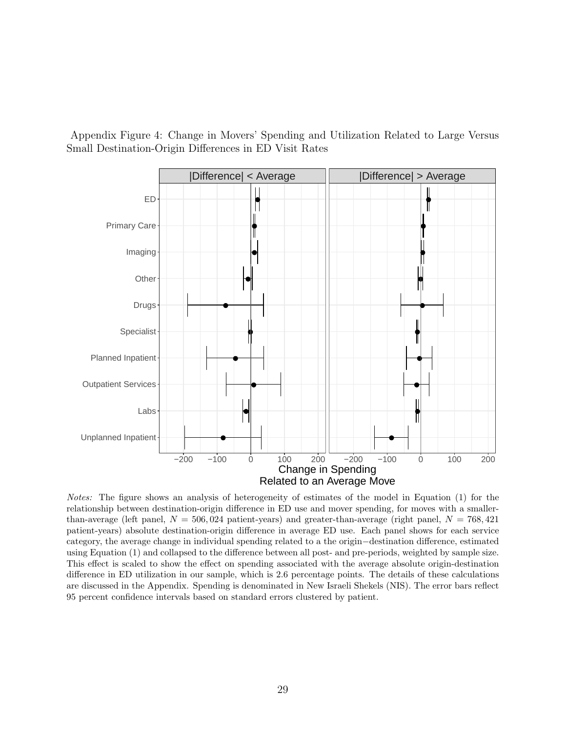<span id="page-30-0"></span>Appendix Figure 4: Change in Movers' Spending and Utilization Related to Large Versus Small Destination-Origin Differences in ED Visit Rates



Notes: The figure shows an analysis of heterogeneity of estimates of the model in Equation [\(1\)](#page-8-1) for the relationship between destination-origin difference in ED use and mover spending, for moves with a smallerthan-average (left panel,  $N = 506,024$  patient-years) and greater-than-average (right panel,  $N = 768,421$ patient-years) absolute destination-origin difference in average ED use. Each panel shows for each service category, the average change in individual spending related to a the origin−destination difference, estimated using Equation [\(1\)](#page-8-1) and collapsed to the difference between all post- and pre-periods, weighted by sample size. This effect is scaled to show the effect on spending associated with the average absolute origin-destination difference in ED utilization in our sample, which is 2.6 percentage points. The details of these calculations are discussed in the Appendix. Spending is denominated in New Israeli Shekels (NIS). The error bars reflect 95 percent confidence intervals based on standard errors clustered by patient.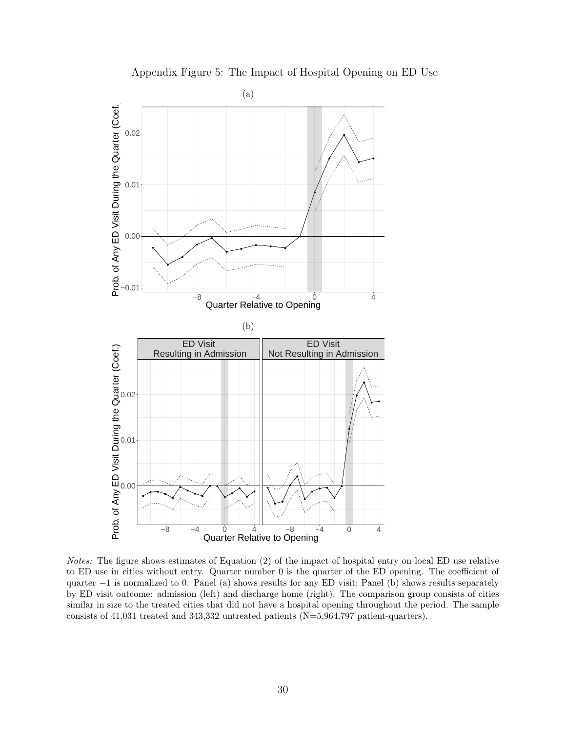<span id="page-31-0"></span>

Appendix Figure 5: The Impact of Hospital Opening on ED Use

Notes: The figure shows estimates of Equation [\(2\)](#page-14-1) of the impact of hospital entry on local ED use relative to ED use in cities without entry. Quarter number 0 is the quarter of the ED opening. The coefficient of quarter −1 is normalized to 0. Panel (a) shows results for any ED visit; Panel (b) shows results separately by ED visit outcome: admission (left) and discharge home (right). The comparison group consists of cities similar in size to the treated cities that did not have a hospital opening throughout the period. The sample consists of 41,031 treated and 343,332 untreated patients (N=5,964,797 patient-quarters).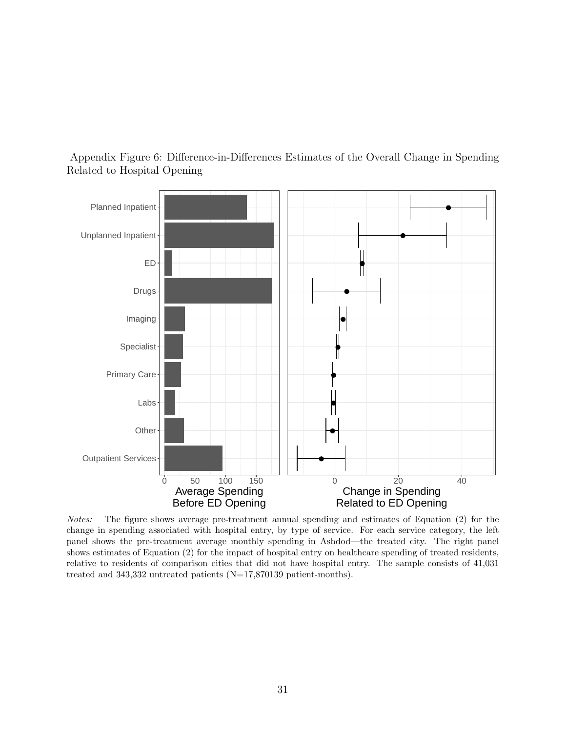

<span id="page-32-0"></span>Appendix Figure 6: Difference-in-Differences Estimates of the Overall Change in Spending Related to Hospital Opening

Notes: The figure shows average pre-treatment annual spending and estimates of Equation [\(2\)](#page-14-1) for the change in spending associated with hospital entry, by type of service. For each service category, the left panel shows the pre-treatment average monthly spending in Ashdod—the treated city. The right panel shows estimates of Equation [\(2\)](#page-14-1) for the impact of hospital entry on healthcare spending of treated residents, relative to residents of comparison cities that did not have hospital entry. The sample consists of 41,031 treated and 343,332 untreated patients (N=17,870139 patient-months).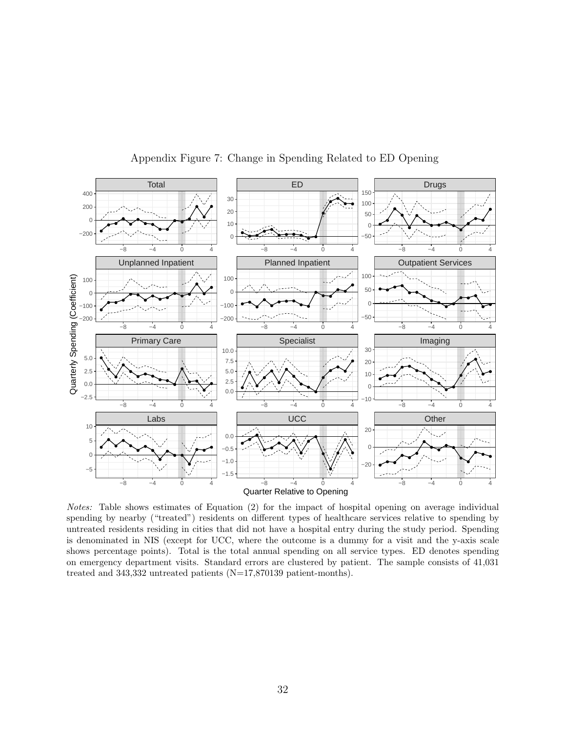<span id="page-33-0"></span>

Appendix Figure 7: Change in Spending Related to ED Opening

Notes: Table shows estimates of Equation [\(2\)](#page-14-1) for the impact of hospital opening on average individual spending by nearby ("treated") residents on different types of healthcare services relative to spending by untreated residents residing in cities that did not have a hospital entry during the study period. Spending is denominated in NIS (except for UCC, where the outcome is a dummy for a visit and the y-axis scale shows percentage points). Total is the total annual spending on all service types. ED denotes spending on emergency department visits. Standard errors are clustered by patient. The sample consists of 41,031 treated and 343,332 untreated patients (N=17,870139 patient-months).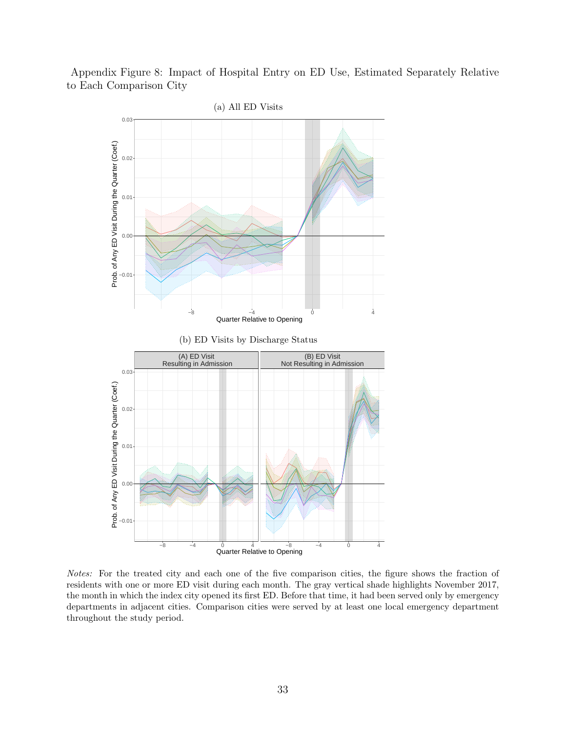<span id="page-34-0"></span>Appendix Figure 8: Impact of Hospital Entry on ED Use, Estimated Separately Relative to Each Comparison City



Notes: For the treated city and each one of the five comparison cities, the figure shows the fraction of residents with one or more ED visit during each month. The gray vertical shade highlights November 2017, the month in which the index city opened its first ED. Before that time, it had been served only by emergency departments in adjacent cities. Comparison cities were served by at least one local emergency department throughout the study period.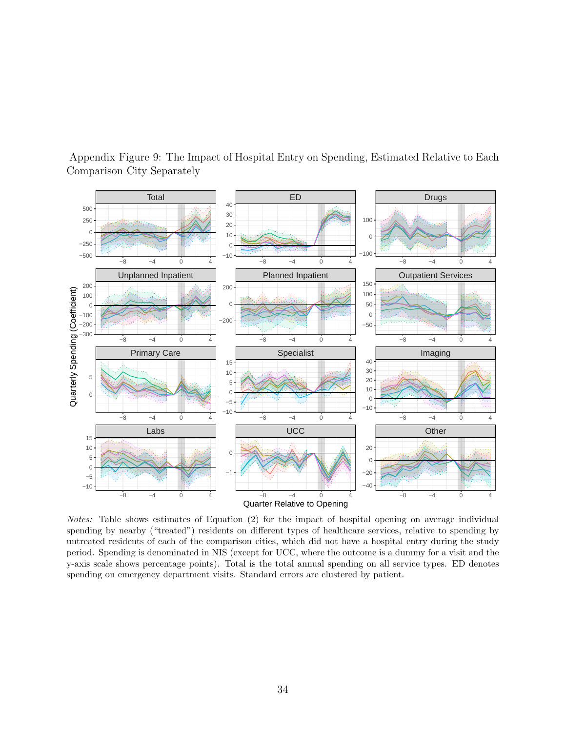

<span id="page-35-0"></span>Appendix Figure 9: The Impact of Hospital Entry on Spending, Estimated Relative to Each Comparison City Separately

Notes: Table shows estimates of Equation [\(2\)](#page-14-1) for the impact of hospital opening on average individual spending by nearby ("treated") residents on different types of healthcare services, relative to spending by untreated residents of each of the comparison cities, which did not have a hospital entry during the study period. Spending is denominated in NIS (except for UCC, where the outcome is a dummy for a visit and the y-axis scale shows percentage points). Total is the total annual spending on all service types. ED denotes spending on emergency department visits. Standard errors are clustered by patient.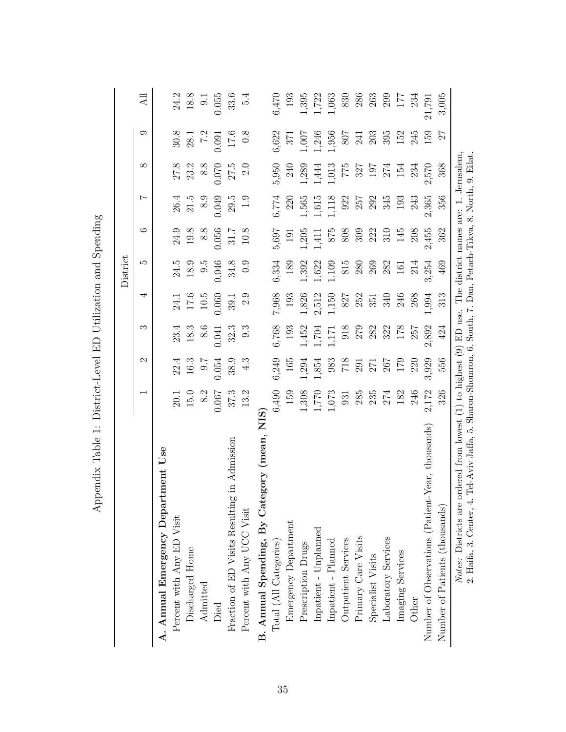|                                                                                                                                                                                             |                                             |                   |         |          | District                              |               |                   |                                             |                                             |                 |
|---------------------------------------------------------------------------------------------------------------------------------------------------------------------------------------------|---------------------------------------------|-------------------|---------|----------|---------------------------------------|---------------|-------------------|---------------------------------------------|---------------------------------------------|-----------------|
|                                                                                                                                                                                             |                                             | $\mathbf{\Omega}$ | S       | 4        | S                                     | ం             | Ņ                 | $\infty$                                    | ా                                           | $\overline{AB}$ |
| Use<br>A. Annual Emergency Department                                                                                                                                                       |                                             |                   |         |          |                                       |               |                   |                                             |                                             |                 |
| Percent with Any ED Visit                                                                                                                                                                   |                                             |                   | 23.4    | 24.1     | 24.5                                  | 24.9          | 26.4              |                                             |                                             | 24.2            |
| Discharged Home                                                                                                                                                                             | $\begin{array}{c} 20.1 \\ 15.0 \end{array}$ | $22.4$<br>16.3    | 18.3    | $17.6\,$ | 18.9                                  | 19.8          | 21.5              | $\begin{array}{c} 27.8 \\ 23.2 \end{array}$ | $\begin{array}{c} 30.8 \\ 28.1 \end{array}$ | 18.8            |
| Admitted                                                                                                                                                                                    | 8.2                                         | $-1.6$            | 8.6     | $10.5\,$ | $9.\overline{5}$                      | 8.8           | $\frac{8.9}{ }$   | 8.8                                         | $\overline{7}$ .2                           | $\overline{6}$  |
| Died                                                                                                                                                                                        | 0.067                                       | 0.054             | 0.041   | 0.060    | 0.046                                 | 0.056         | 0.049             | 0.070                                       | 0.091                                       | 0.055           |
| g in Admission<br>Fraction of ED Visits Resultin                                                                                                                                            | 37.3                                        | 38.9              | 32.3    | 39.1     | $34.8\,$                              | 31.7          | 29.5              | 27.5                                        | $\begin{array}{c} 17.6 \\ 0.8 \end{array}$  | 33.6            |
| Percent with Any UCC Visit                                                                                                                                                                  | 13.2                                        | 4.3               | 9.3     | 2.9      | 0.9                                   | $10.8\,$      | $\ddot{0}$        | 2.0                                         |                                             | 5.4             |
| NIS <sub>1</sub><br>B. Annual Spending, By Category (mean,                                                                                                                                  |                                             |                   |         |          |                                       |               |                   |                                             |                                             |                 |
| Total (All Categories)                                                                                                                                                                      | 6,490                                       | 6,249             | 6,768   | 7,968    | 6,334                                 |               | $6{,}774$         | 5,950                                       | 5,622                                       | $6{,}470$       |
| Emergency Department                                                                                                                                                                        | 159                                         | 165               | 193     | 193      | 189                                   | $5,697$ $191$ | 220               | 240                                         | 371                                         | 193             |
| Prescription Drugs                                                                                                                                                                          | 1,308                                       | 1,294             | 1,452   | 1,826    | 1,392                                 | 1,205         | $1,565$           | 1,289                                       | 1,007                                       | 1,395           |
| Inpatient - Unplanned                                                                                                                                                                       | 1,770                                       | 1,854             | 1,704   | 2,512    | 1,622                                 | 1,411         | 1,615             | 1,444                                       | 1,246                                       | 1,722           |
| Inpatient - Planned                                                                                                                                                                         | 1,073                                       | 983               | 1,171   | 1,150    | 1,109                                 | $875\,$       | 1,118             | 1,013                                       | 1,956                                       | 1,063           |
| Outpatient Services                                                                                                                                                                         | 931                                         | $718$             | $918\,$ | 827      | 815                                   | 808           | $\frac{922}{257}$ |                                             | 708                                         | 830             |
| Primary Care Visits                                                                                                                                                                         | $285$                                       | 291               | 279     | 252      | 280                                   | 309           |                   |                                             | 241                                         | 286             |
| Specialist Visits                                                                                                                                                                           | $235$<br>$274$                              | 271               | 282     | 351      | 269                                   | 222           | 292               | $75$<br>$327$<br>$197$<br>$274$             | 203                                         | 263             |
| Laboratory Services                                                                                                                                                                         |                                             | 267               | 322     | 340      | 282                                   | 310           | 345               |                                             | 395                                         | 299             |
| Imaging Services                                                                                                                                                                            | 182                                         | 179               | 178     | 246      | 161                                   | 145           | 193               | 154                                         | 152                                         | 177             |
| Other                                                                                                                                                                                       | 246                                         | 220               | 257     | 268      | 214                                   | 208           | 243               | 234                                         | 245                                         | 234             |
| $-\text{Year}, \text{thousands}$<br>Number of Observations (Patient                                                                                                                         | 2,172                                       | 3,929             | 2,892   | 1,994    | 3,254                                 | 2,455         | 2,365             | 2,570                                       | 159                                         | 21,791          |
| Number of Patients (thousands)                                                                                                                                                              | 326                                         | 556               | 424     | 313      | 469                                   | 362           | 356               | 368                                         | 27                                          | 3,005           |
| Tel-Aviv Jaffa, 5. Sharon-Shomron, 6. South, 7. Dan, Petach-Tikva, 8. North, 9. Eilat.<br>ordered from lowest (1) to highest (9) ED use.<br>2. Haifa, 3. Center, 4.<br>Notes: Districts are |                                             |                   |         |          | The district names are: 1. Jerusalem, |               |                   |                                             |                                             |                 |

<span id="page-36-0"></span>Appendix Table 1: District-Level ED Utilization and Spending Appendix Table 1: District-Level ED Utilization and Spending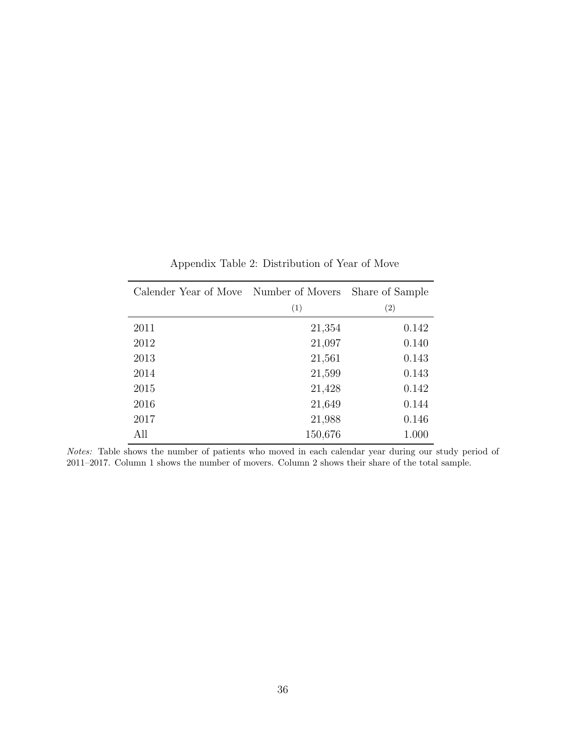<span id="page-37-0"></span>

| Calender Year of Move Number of Movers |         | Share of Sample |
|----------------------------------------|---------|-----------------|
|                                        | (1)     | (2)             |
| 2011                                   | 21,354  | 0.142           |
| 2012                                   | 21,097  | 0.140           |
| 2013                                   | 21,561  | 0.143           |
| 2014                                   | 21,599  | 0.143           |
| 2015                                   | 21,428  | 0.142           |
| 2016                                   | 21,649  | 0.144           |
| 2017                                   | 21,988  | 0.146           |
| All                                    | 150,676 | 1.000           |

Appendix Table 2: Distribution of Year of Move

Notes: Table shows the number of patients who moved in each calendar year during our study period of 2011–2017. Column 1 shows the number of movers. Column 2 shows their share of the total sample.